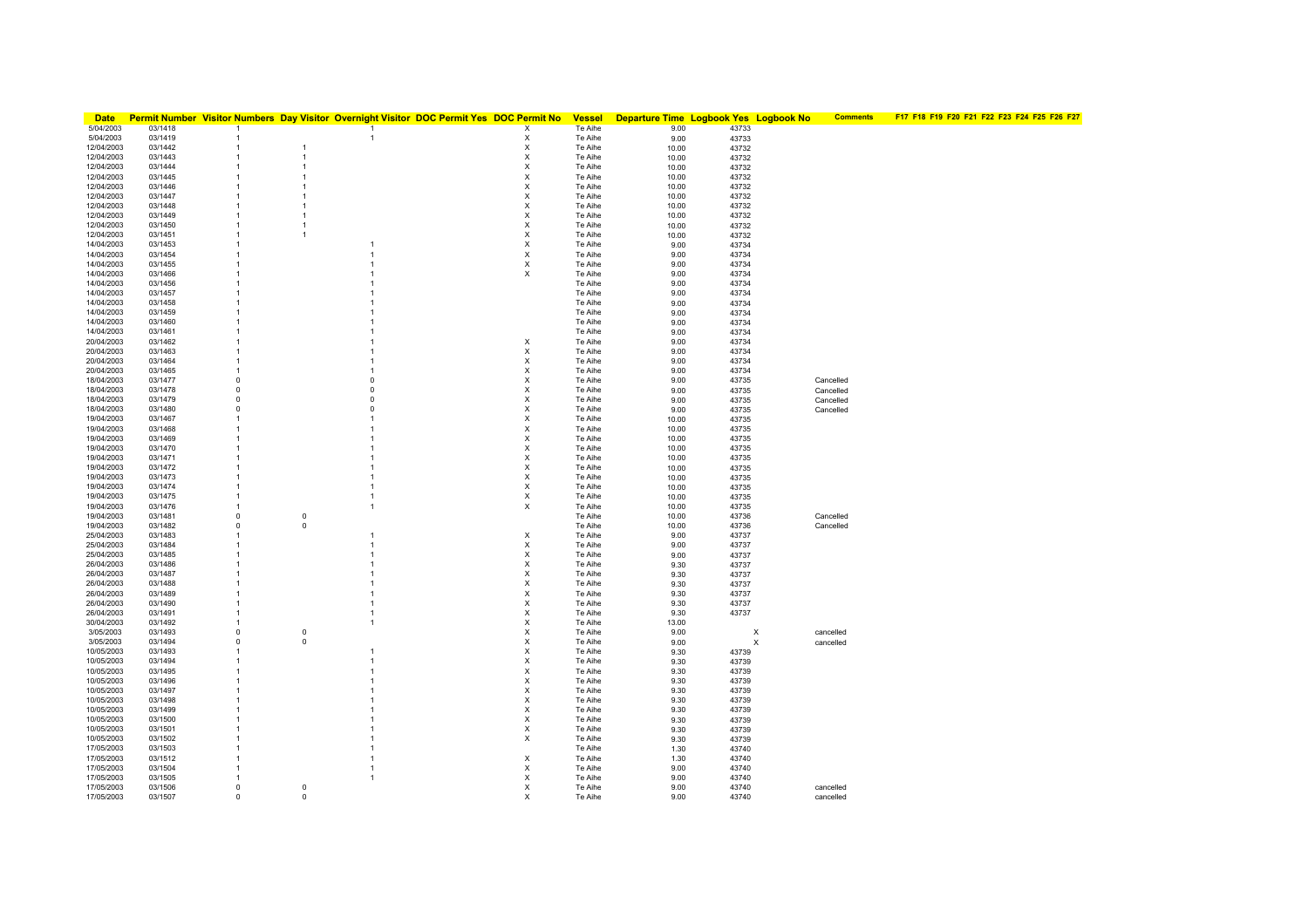| <b>Date</b>              |                    |                             |                                  |                | Permit Number Visitor Numbers Day Visitor Overnight Visitor DOC Permit Yes DOC Permit No | <b>Vessel</b>      | Departure Time Logbook Yes Logbook No |                | <b>Comments</b> | F17 F18 F19 F20 F21 F22 F23 F24 F25 F26 F27 |
|--------------------------|--------------------|-----------------------------|----------------------------------|----------------|------------------------------------------------------------------------------------------|--------------------|---------------------------------------|----------------|-----------------|---------------------------------------------|
| 5/04/2003                | 03/1418            | $\overline{1}$              |                                  | $\mathbf{1}$   | X                                                                                        | Te Aihe            | 9.00                                  | 43733          |                 |                                             |
| 5/04/2003                | 03/1419            |                             |                                  | -1             | х                                                                                        | Te Aihe            | 9.00                                  | 43733          |                 |                                             |
| 12/04/2003               | 03/1442            |                             | $\overline{1}$                   |                | х                                                                                        | Te Aihe            | 10.00                                 | 43732          |                 |                                             |
| 12/04/2003<br>12/04/2003 | 03/1443<br>03/1444 | 1<br>$\overline{1}$         | $\overline{1}$<br>$\overline{1}$ |                | X<br>$\boldsymbol{\mathsf{x}}$                                                           | Te Aihe<br>Te Aihe | 10.00                                 | 43732          |                 |                                             |
| 12/04/2003               | 03/1445            | $\overline{1}$              | $\overline{1}$                   |                | X                                                                                        | Te Aihe            | 10.00<br>10.00                        | 43732<br>43732 |                 |                                             |
| 12/04/2003               | 03/1446            | $\mathbf{1}$                | $\overline{1}$                   |                | х                                                                                        | Te Aihe            | 10.00                                 | 43732          |                 |                                             |
| 12/04/2003               | 03/1447            | $\mathbf{1}$                | $\overline{1}$                   |                | X                                                                                        | Te Aihe            | 10.00                                 | 43732          |                 |                                             |
| 12/04/2003               | 03/1448            | $\mathbf{1}$                | $\overline{1}$                   |                | X                                                                                        | Te Aihe            | 10.00                                 | 43732          |                 |                                             |
| 12/04/2003               | 03/1449            | 1                           | $\overline{1}$                   |                | X                                                                                        | Te Aihe            | 10.00                                 | 43732          |                 |                                             |
| 12/04/2003               | 03/1450            | -1                          | $\overline{1}$                   |                | х                                                                                        | Te Aihe            | 10.00                                 | 43732          |                 |                                             |
| 12/04/2003               | 03/1451            | 1                           | $\overline{1}$                   |                | х                                                                                        | Te Aihe            | 10.00                                 | 43732          |                 |                                             |
| 14/04/2003               | 03/1453            | $\mathbf{1}$                |                                  |                | X                                                                                        | Te Aihe            | 9.00                                  | 43734          |                 |                                             |
| 14/04/2003<br>14/04/2003 | 03/1454<br>03/1455 | 1<br>-1                     |                                  | 1<br>1         | X<br>X                                                                                   | Te Aihe<br>Te Aihe | 9.00                                  | 43734          |                 |                                             |
| 14/04/2003               | 03/1466            | -1                          |                                  |                | X                                                                                        | Te Aihe            | 9.00<br>9.00                          | 43734<br>43734 |                 |                                             |
| 14/04/2003               | 03/1456            |                             |                                  |                |                                                                                          | Te Aihe            | 9.00                                  | 43734          |                 |                                             |
| 14/04/2003               | 03/1457            |                             |                                  |                |                                                                                          | Te Aihe            | 9.00                                  | 43734          |                 |                                             |
| 14/04/2003               | 03/1458            | 1                           |                                  |                |                                                                                          | Te Aihe            | 9.00                                  | 43734          |                 |                                             |
| 14/04/2003               | 03/1459            |                             |                                  |                |                                                                                          | Te Aihe            | 9.00                                  | 43734          |                 |                                             |
| 14/04/2003               | 03/1460            |                             |                                  |                |                                                                                          | Te Aihe            | 9.00                                  | 43734          |                 |                                             |
| 14/04/2003               | 03/1461            |                             |                                  |                |                                                                                          | Te Aihe            | 9.00                                  | 43734          |                 |                                             |
| 20/04/2003               | 03/1462            |                             |                                  |                | X                                                                                        | Te Aihe            | 9.00                                  | 43734          |                 |                                             |
| 20/04/2003<br>20/04/2003 | 03/1463<br>03/1464 | 1<br>$\overline{1}$         |                                  |                | X                                                                                        | Te Aihe<br>Te Aihe | 9.00                                  | 43734<br>43734 |                 |                                             |
| 20/04/2003               | 03/1465            | -1                          |                                  |                | х<br>X                                                                                   | Te Aihe            | 9.00<br>9.00                          | 43734          |                 |                                             |
| 18/04/2003               | 03/1477            | $\mathbf 0$                 |                                  | $\Omega$       | X                                                                                        | Te Aihe            | 9.00                                  | 43735          | Cancelled       |                                             |
| 18/04/2003               | 03/1478            | $\mathbf 0$                 |                                  | $\Omega$       | X                                                                                        | Te Aihe            | 9.00                                  | 43735          | Cancelled       |                                             |
| 18/04/2003               | 03/1479            | $\circ$                     |                                  | $\Omega$       | X                                                                                        | Te Aihe            | 9.00                                  | 43735          | Cancelled       |                                             |
| 18/04/2003               | 03/1480            | 0                           |                                  | 0              | х                                                                                        | Te Aihe            | 9.00                                  | 43735          | Cancelled       |                                             |
| 19/04/2003               | 03/1467            |                             |                                  |                | X                                                                                        | Te Aihe            | 10.00                                 | 43735          |                 |                                             |
| 19/04/2003               | 03/1468            |                             |                                  |                | X                                                                                        | Te Aihe            | 10.00                                 | 43735          |                 |                                             |
| 19/04/2003               | 03/1469            |                             |                                  |                | X                                                                                        | Te Aihe            | 10.00                                 | 43735          |                 |                                             |
| 19/04/2003<br>19/04/2003 | 03/1470<br>03/1471 | -1                          |                                  |                | X<br>X                                                                                   | Te Aihe<br>Te Aihe | 10.00<br>10.00                        | 43735<br>43735 |                 |                                             |
| 19/04/2003               | 03/1472            | $\mathbf{1}$                |                                  |                | X                                                                                        | Te Aihe            | 10.00                                 | 43735          |                 |                                             |
| 19/04/2003               | 03/1473            | 1                           |                                  |                | X                                                                                        | Te Aihe            | 10.00                                 | 43735          |                 |                                             |
| 19/04/2003               | 03/1474            | $\mathbf{1}$                |                                  | 1              | X                                                                                        | Te Aihe            | 10.00                                 | 43735          |                 |                                             |
| 19/04/2003               | 03/1475            | $\mathbf{1}$                |                                  | 1              | х                                                                                        | Te Aihe            | 10.00                                 | 43735          |                 |                                             |
| 19/04/2003               | 03/1476            | $\mathbf{1}$                |                                  | $\overline{1}$ | X                                                                                        | Te Aihe            | 10.00                                 | 43735          |                 |                                             |
| 19/04/2003               | 03/1481            | $\mathbf 0$                 | $\mathsf 0$                      |                |                                                                                          | Te Aihe            | 10.00                                 | 43736          | Cancelled       |                                             |
| 19/04/2003<br>25/04/2003 | 03/1482<br>03/1483 | $\mathsf 0$<br>$\mathbf{1}$ | $\mathbf 0$                      | -1             | х                                                                                        | Te Aihe<br>Te Aihe | 10.00                                 | 43736          | Cancelled       |                                             |
| 25/04/2003               | 03/1484            | 1                           |                                  | 1              | х                                                                                        | Te Aihe            | 9.00<br>9.00                          | 43737<br>43737 |                 |                                             |
| 25/04/2003               | 03/1485            |                             |                                  |                | X                                                                                        | Te Aihe            | 9.00                                  | 43737          |                 |                                             |
| 26/04/2003               | 03/1486            | 1                           |                                  |                | X                                                                                        | Te Aihe            | 9.30                                  | 43737          |                 |                                             |
| 26/04/2003               | 03/1487            | -1                          |                                  |                | х                                                                                        | Te Aihe            | 9.30                                  | 43737          |                 |                                             |
| 26/04/2003               | 03/1488            | -1                          |                                  |                | X                                                                                        | Te Aihe            | 9.30                                  | 43737          |                 |                                             |
| 26/04/2003               | 03/1489            | 1                           |                                  |                | X                                                                                        | Te Aihe            | 9.30                                  | 43737          |                 |                                             |
| 26/04/2003               | 03/1490            | $\mathbf{1}$                |                                  |                | X                                                                                        | Te Aihe            | 9.30                                  | 43737          |                 |                                             |
| 26/04/2003<br>30/04/2003 | 03/1491<br>03/1492 | 1<br>-1                     |                                  | 1              | X<br>X                                                                                   | Te Aihe<br>Te Aihe | 9.30                                  | 43737          |                 |                                             |
| 3/05/2003                | 03/1493            | $\mathbf 0$                 | $\mathsf 0$                      |                | X                                                                                        | Te Aihe            | 13.00<br>9.00                         | X              | cancelled       |                                             |
| 3/05/2003                | 03/1494            | $\mathbf 0$                 | $\mathsf 0$                      |                | X                                                                                        | Te Aihe            | 9.00                                  | X              | cancelled       |                                             |
| 10/05/2003               | 03/1493            | $\mathbf{1}$                |                                  | 1              | X                                                                                        | Te Aihe            | 9.30                                  | 43739          |                 |                                             |
| 10/05/2003               | 03/1494            | -1                          |                                  |                | х                                                                                        | Te Aihe            | 9.30                                  | 43739          |                 |                                             |
| 10/05/2003               | 03/1495            |                             |                                  |                | X                                                                                        | Te Aihe            | 9.30                                  | 43739          |                 |                                             |
| 10/05/2003               | 03/1496            |                             |                                  |                | X                                                                                        | Te Aihe            | 9.30                                  | 43739          |                 |                                             |
| 10/05/2003               | 03/1497            |                             |                                  |                | X                                                                                        | Te Aihe            | 9.30                                  | 43739          |                 |                                             |
| 10/05/2003<br>10/05/2003 | 03/1498<br>03/1499 |                             |                                  |                | X<br>X                                                                                   | Te Aihe<br>Te Aihe | 9.30                                  | 43739          |                 |                                             |
| 10/05/2003               | 03/1500            |                             |                                  |                | X                                                                                        | Te Aihe            | 9.30<br>9.30                          | 43739<br>43739 |                 |                                             |
| 10/05/2003               | 03/1501            | 1                           |                                  |                | х                                                                                        | Te Aihe            | 9.30                                  | 43739          |                 |                                             |
| 10/05/2003               | 03/1502            |                             |                                  |                | X                                                                                        | Te Aihe            | 9.30                                  | 43739          |                 |                                             |
| 17/05/2003               | 03/1503            |                             |                                  |                |                                                                                          | Te Aihe            | 1.30                                  | 43740          |                 |                                             |
| 17/05/2003               | 03/1512            |                             |                                  |                | х                                                                                        | Te Aihe            | 1.30                                  | 43740          |                 |                                             |
| 17/05/2003               | 03/1504            | 1                           |                                  |                | X                                                                                        | Te Aihe            | 9.00                                  | 43740          |                 |                                             |
| 17/05/2003               | 03/1505            | 1                           |                                  |                | X                                                                                        | Te Aihe            | 9.00                                  | 43740          |                 |                                             |
| 17/05/2003               | 03/1506<br>03/1507 | $\mathbf 0$<br>$\Omega$     | $\mathsf 0$<br>$\mathsf 0$       |                | X                                                                                        | Te Aihe            | 9.00<br>9.00                          | 43740<br>43740 | cancelled       |                                             |
| 17/05/2003               |                    |                             |                                  |                |                                                                                          | Te Aihe            |                                       |                | cancelled       |                                             |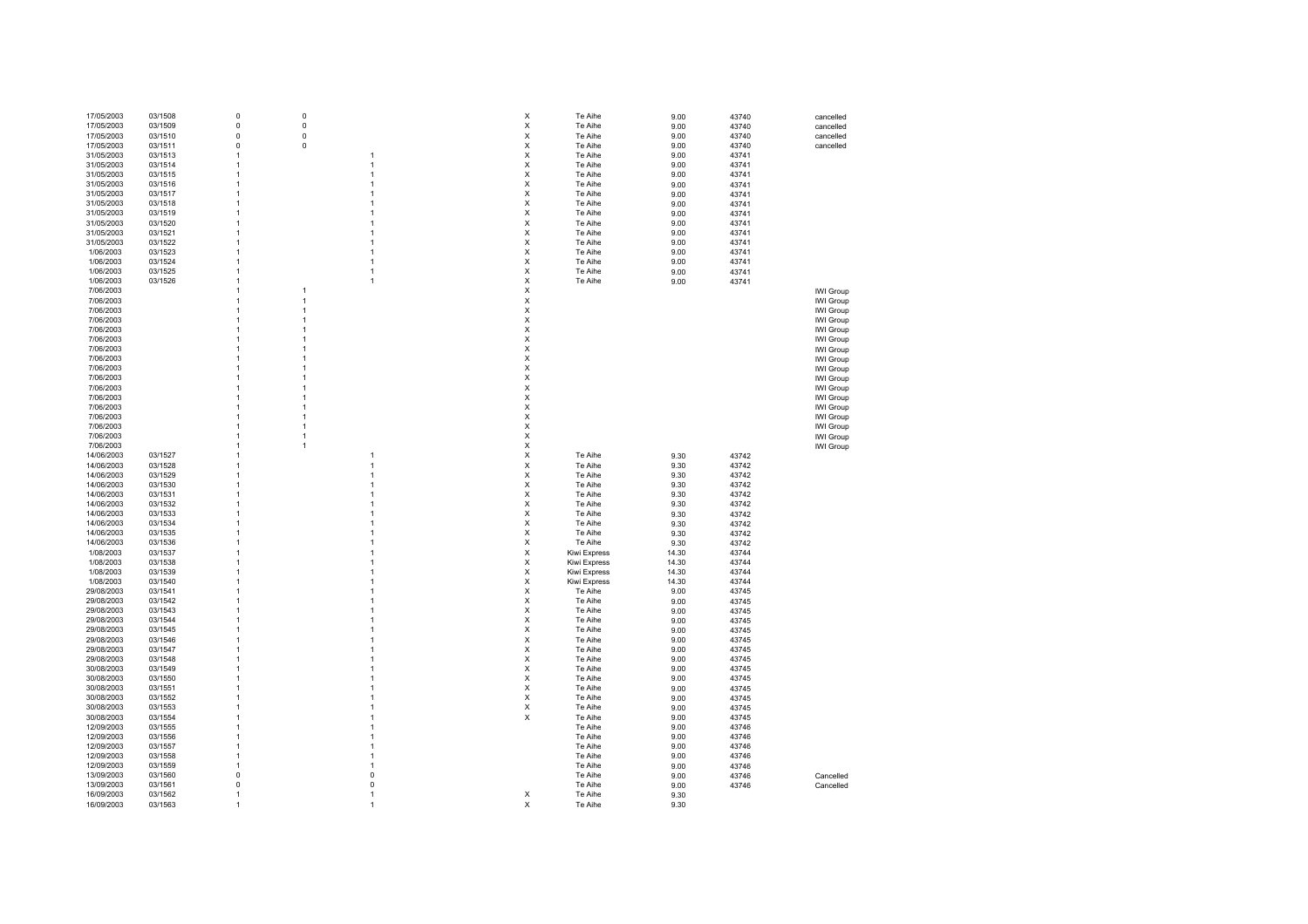| 17/05/2003 | 03/1508 | 0            | $\mathsf 0$ |              | X                         | Te Aihe      | 9.00  | 43740 | cancelled        |
|------------|---------|--------------|-------------|--------------|---------------------------|--------------|-------|-------|------------------|
|            |         |              |             |              |                           |              |       |       |                  |
| 17/05/2003 | 03/1509 | $\mathbf 0$  | 0           |              | X                         | Te Aihe      | 9.00  | 43740 | cancelled        |
| 17/05/2003 | 03/1510 | $\mathsf 0$  | $\pmb{0}$   |              | $\mathsf X$               | Te Aihe      | 9.00  | 43740 | cancelled        |
|            |         |              |             |              |                           |              |       |       |                  |
| 17/05/2003 | 03/1511 | 0            | $\pmb{0}$   |              | X                         | Te Aihe      | 9.00  | 43740 | cancelled        |
|            |         |              |             |              |                           |              |       |       |                  |
| 31/05/2003 | 03/1513 | 1            |             | 1            | X                         | Te Aihe      | 9.00  | 43741 |                  |
| 31/05/2003 | 03/1514 | 1            |             | 1            | X                         | Te Aihe      | 9.00  | 43741 |                  |
|            |         |              |             |              |                           |              |       |       |                  |
| 31/05/2003 | 03/1515 | 1            |             |              | X                         | Te Aihe      | 9.00  | 43741 |                  |
|            |         |              |             |              |                           |              |       |       |                  |
| 31/05/2003 | 03/1516 | -1           |             |              | X                         | Te Aihe      | 9.00  | 43741 |                  |
| 31/05/2003 | 03/1517 | -1           |             |              | $\boldsymbol{\mathsf{X}}$ | Te Aihe      | 9.00  | 43741 |                  |
|            |         |              |             |              |                           |              |       |       |                  |
| 31/05/2003 | 03/1518 | 1            |             |              | $\mathsf X$               | Te Aihe      | 9.00  | 43741 |                  |
|            |         |              |             |              |                           |              |       |       |                  |
| 31/05/2003 | 03/1519 | 1            |             |              | $\boldsymbol{\mathsf{x}}$ | Te Aihe      | 9.00  | 43741 |                  |
| 31/05/2003 | 03/1520 |              |             |              | X                         | Te Aihe      | 9.00  | 43741 |                  |
|            |         |              |             |              |                           |              |       |       |                  |
| 31/05/2003 | 03/1521 | 1            |             | 1            | X                         | Te Aihe      | 9.00  | 43741 |                  |
|            |         | 1            |             | 1            | X                         |              |       |       |                  |
| 31/05/2003 | 03/1522 |              |             |              |                           | Te Aihe      | 9.00  | 43741 |                  |
| 1/06/2003  | 03/1523 | 1            |             | 1            | $\boldsymbol{\mathsf{X}}$ | Te Aihe      | 9.00  | 43741 |                  |
|            |         |              |             |              |                           |              |       |       |                  |
| 1/06/2003  | 03/1524 | -1           |             | 1            | X                         | Te Aihe      | 9.00  | 43741 |                  |
|            |         | 1            |             |              |                           |              |       |       |                  |
| 1/06/2003  | 03/1525 |              |             | 1            | X                         | Te Aihe      | 9.00  | 43741 |                  |
| 1/06/2003  | 03/1526 | 1            |             | 1            | X                         | Te Aihe      | 9.00  | 43741 |                  |
|            |         |              |             |              |                           |              |       |       |                  |
| 7/06/2003  |         | 1            | 1           |              | X                         |              |       |       | <b>IWI Group</b> |
| 7/06/2003  |         | 1            | 1           |              | X                         |              |       |       |                  |
|            |         |              |             |              |                           |              |       |       | IWI Group        |
| 7/06/2003  |         | 1            | 1           |              | X                         |              |       |       | IWI Group        |
|            |         |              |             |              |                           |              |       |       |                  |
| 7/06/2003  |         | 1            | 1           |              | $\boldsymbol{\mathsf{X}}$ |              |       |       | IWI Group        |
| 7/06/2003  |         | 1            | 1           |              | $\boldsymbol{\mathsf{x}}$ |              |       |       |                  |
|            |         |              |             |              |                           |              |       |       | IWI Group        |
| 7/06/2003  |         | 1            |             |              | X                         |              |       |       | IWI Group        |
|            |         |              |             |              |                           |              |       |       |                  |
| 7/06/2003  |         | 1            |             |              | X                         |              |       |       | IWI Group        |
| 7/06/2003  |         | $\mathbf{1}$ | 1           |              | X                         |              |       |       | IWI Group        |
|            |         |              |             |              |                           |              |       |       |                  |
| 7/06/2003  |         | 1            | 1           |              | $\boldsymbol{\mathsf{x}}$ |              |       |       | IWI Group        |
|            |         |              |             |              |                           |              |       |       |                  |
| 7/06/2003  |         | 1            | 1           |              | $\boldsymbol{\mathsf{x}}$ |              |       |       | IWI Group        |
| 7/06/2003  |         | 1            | 1           |              | $\mathsf X$               |              |       |       | IWI Group        |
|            |         |              |             |              |                           |              |       |       |                  |
| 7/06/2003  |         | 1            |             |              | X                         |              |       |       | IWI Group        |
|            |         |              |             |              |                           |              |       |       |                  |
| 7/06/2003  |         | 1            |             |              | X                         |              |       |       | <b>IWI Group</b> |
| 7/06/2003  |         | 1            | 1           |              | X                         |              |       |       | IWI Group        |
|            |         |              |             |              |                           |              |       |       |                  |
| 7/06/2003  |         |              | 1           |              | X                         |              |       |       | IWI Group        |
|            |         |              |             |              | $\boldsymbol{\mathsf{X}}$ |              |       |       |                  |
| 7/06/2003  |         | -1           | -1          |              |                           |              |       |       | IWI Group        |
| 7/06/2003  |         | -1           | 1           |              | $\boldsymbol{\mathsf{x}}$ |              |       |       | IWI Group        |
|            |         |              |             |              |                           |              |       |       |                  |
| 14/06/2003 | 03/1527 | 1            |             | 1            | $\boldsymbol{\mathsf{x}}$ | Te Aihe      | 9.30  | 43742 |                  |
|            |         |              |             | 1            |                           |              |       |       |                  |
| 14/06/2003 | 03/1528 | 1            |             |              | $\boldsymbol{\mathsf{x}}$ | Te Aihe      | 9.30  | 43742 |                  |
| 14/06/2003 | 03/1529 | $\mathbf{1}$ |             | 1            | X                         | Te Aihe      | 9.30  | 43742 |                  |
|            |         |              |             |              |                           |              |       |       |                  |
| 14/06/2003 | 03/1530 | $\mathbf{1}$ |             | 1            | X                         | Te Aihe      | 9.30  | 43742 |                  |
|            |         | $\mathbf{1}$ |             | 1            | X                         |              |       |       |                  |
| 14/06/2003 | 03/1531 |              |             |              |                           | Te Aihe      | 9.30  | 43742 |                  |
| 14/06/2003 | 03/1532 | 1            |             | 1            | $\boldsymbol{\mathsf{x}}$ | Te Aihe      | 9.30  | 43742 |                  |
|            |         |              |             |              |                           |              |       |       |                  |
| 14/06/2003 | 03/1533 | 1            |             | 1            | $\boldsymbol{\mathsf{x}}$ | Te Aihe      | 9.30  | 43742 |                  |
|            |         |              |             |              |                           |              |       |       |                  |
| 14/06/2003 | 03/1534 | 1            |             |              | X                         | Te Aihe      | 9.30  | 43742 |                  |
| 14/06/2003 | 03/1535 |              |             |              | X                         | Te Aihe      | 9.30  | 43742 |                  |
|            |         |              |             |              |                           |              |       |       |                  |
| 14/06/2003 | 03/1536 |              |             |              | X                         | Te Aihe      | 9.30  | 43742 |                  |
| 1/08/2003  | 03/1537 | 1            |             |              | $\times$                  | Kiwi Express | 14.30 | 43744 |                  |
|            |         |              |             |              |                           |              |       |       |                  |
| 1/08/2003  | 03/1538 | 1            |             |              | $\boldsymbol{\mathsf{X}}$ | Kiwi Express | 14.30 | 43744 |                  |
|            |         |              |             |              |                           |              |       |       |                  |
| 1/08/2003  | 03/1539 | 1            |             |              | $\boldsymbol{\mathsf{x}}$ | Kiwi Express | 14.30 | 43744 |                  |
| 1/08/2003  | 03/1540 | 1            |             |              | X                         |              |       | 43744 |                  |
|            |         |              |             |              |                           | Kiwi Express | 14.30 |       |                  |
| 29/08/2003 | 03/1541 | 1            |             |              | $\boldsymbol{\mathsf{x}}$ | Te Aihe      | 9.00  | 43745 |                  |
|            |         |              |             |              |                           |              |       |       |                  |
| 29/08/2003 | 03/1542 | $\mathbf{1}$ |             |              | $\boldsymbol{\mathsf{X}}$ | Te Aihe      | 9.00  | 43745 |                  |
| 29/08/2003 | 03/1543 | $\mathbf{1}$ |             |              | $\boldsymbol{\mathsf{X}}$ | Te Aihe      | 9.00  | 43745 |                  |
|            |         |              |             |              |                           |              |       |       |                  |
| 29/08/2003 | 03/1544 | $\mathbf{1}$ |             |              | $\boldsymbol{\mathsf{x}}$ | Te Aihe      | 9.00  | 43745 |                  |
|            |         | 1            |             |              |                           |              |       |       |                  |
| 29/08/2003 | 03/1545 |              |             |              | $\mathsf X$               | Te Aihe      | 9.00  | 43745 |                  |
| 29/08/2003 | 03/1546 | 1            |             |              | $\boldsymbol{\mathsf{x}}$ | Te Aihe      | 9.00  | 43745 |                  |
|            |         |              |             |              |                           |              |       |       |                  |
| 29/08/2003 | 03/1547 | 1            |             |              | $\boldsymbol{\mathsf{x}}$ | Te Aihe      | 9.00  | 43745 |                  |
|            |         |              |             |              |                           |              |       |       |                  |
| 29/08/2003 | 03/1548 |              |             |              | $\boldsymbol{\mathsf{X}}$ | Te Aihe      | 9.00  | 43745 |                  |
| 30/08/2003 | 03/1549 | -1           |             |              | $\boldsymbol{\mathsf{X}}$ | Te Aihe      | 9.00  | 43745 |                  |
|            |         |              |             |              |                           |              |       |       |                  |
| 30/08/2003 | 03/1550 |              |             |              | $\boldsymbol{\mathsf{X}}$ | Te Aihe      | 9.00  | 43745 |                  |
|            |         | 1            |             |              |                           |              |       |       |                  |
| 30/08/2003 | 03/1551 |              |             |              | $\boldsymbol{\mathsf{x}}$ | Te Aihe      | 9.00  | 43745 |                  |
| 30/08/2003 | 03/1552 | 1            |             |              | $\pmb{\times}$            | Te Aihe      | 9.00  | 43745 |                  |
|            |         |              |             |              |                           |              |       |       |                  |
| 30/08/2003 | 03/1553 | 1            |             |              | $\pmb{\times}$            | Te Aihe      | 9.00  | 43745 |                  |
|            |         |              |             |              |                           |              |       |       |                  |
| 30/08/2003 | 03/1554 |              |             |              | $\boldsymbol{\mathsf{X}}$ | Te Aihe      | 9.00  | 43745 |                  |
| 12/09/2003 | 03/1555 |              |             |              |                           | Te Aihe      | 9.00  | 43746 |                  |
|            |         |              |             |              |                           |              |       |       |                  |
| 12/09/2003 | 03/1556 | $\mathbf{1}$ |             | 1            |                           | Te Aihe      | 9.00  | 43746 |                  |
|            |         |              |             |              |                           |              |       |       |                  |
| 12/09/2003 | 03/1557 | 1            |             | 1            |                           | Te Aihe      | 9.00  | 43746 |                  |
| 12/09/2003 | 03/1558 | 1            |             | 1            |                           | Te Aihe      | 9.00  | 43746 |                  |
|            |         |              |             |              |                           |              |       |       |                  |
| 12/09/2003 | 03/1559 | $\mathbf{1}$ |             | 1            |                           | Te Aihe      | 9.00  | 43746 |                  |
|            |         |              |             |              |                           |              |       |       |                  |
| 13/09/2003 | 03/1560 | $\mathbf 0$  |             | $\Omega$     |                           | Te Aihe      | 9.00  | 43746 | Cancelled        |
| 13/09/2003 | 03/1561 | $\Omega$     |             | $\Omega$     |                           | Te Aihe      | 9.00  | 43746 | Cancelled        |
|            |         |              |             |              |                           |              |       |       |                  |
|            |         |              |             |              |                           |              |       |       |                  |
| 16/09/2003 | 03/1562 | $\mathbf{1}$ |             | $\mathbf{1}$ | $\boldsymbol{\mathsf{x}}$ | Te Aihe      | 9.30  |       |                  |
| 16/09/2003 | 03/1563 |              |             |              | $\times$                  | Te Aihe      | 9.30  |       |                  |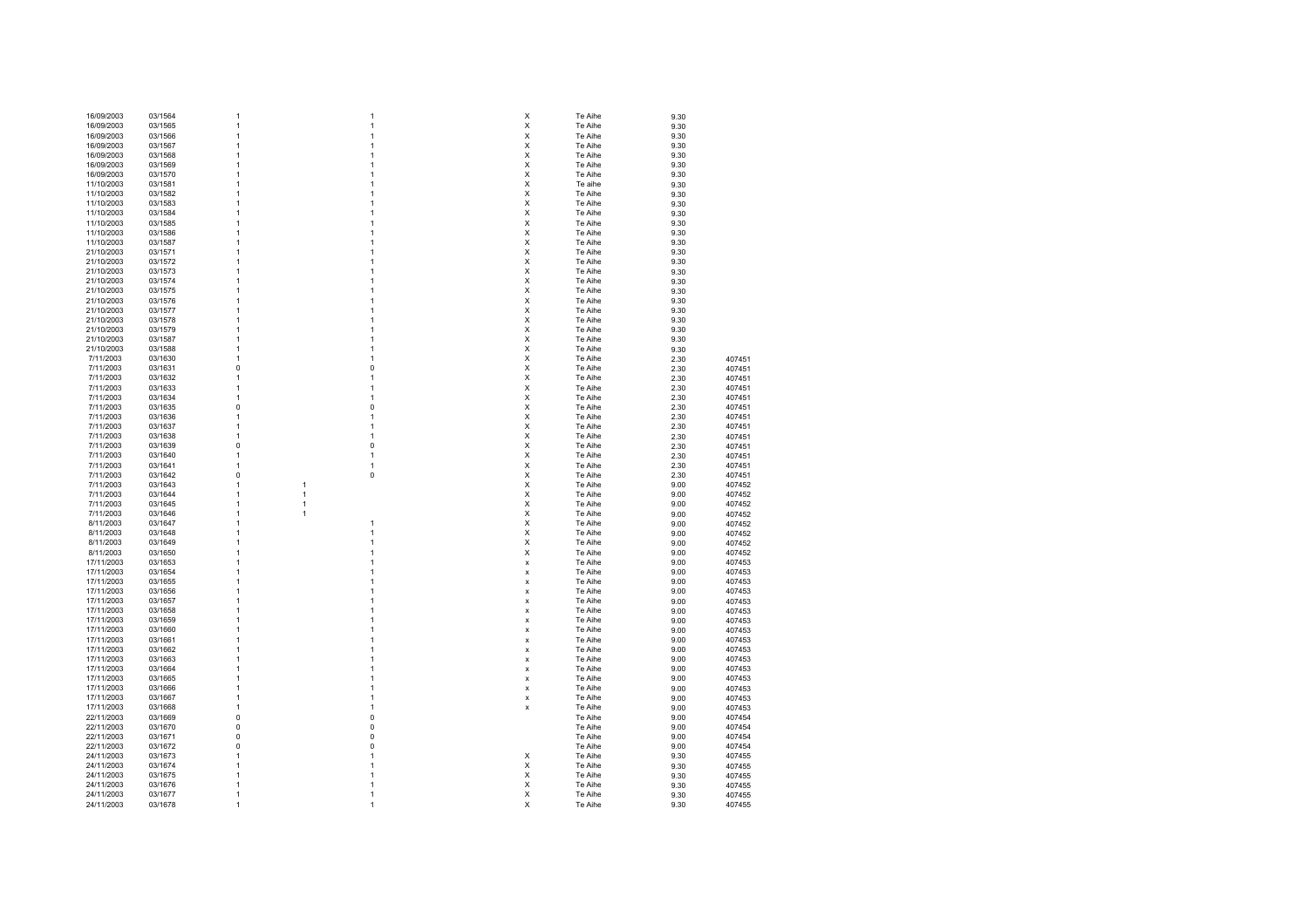| 16/09/2003 | 03/1564 | 1              | 1              | X            | Te Aihe | 9.30 |        |
|------------|---------|----------------|----------------|--------------|---------|------|--------|
| 16/09/2003 | 03/1565 | 1              | 1              | X            | Te Aihe | 9.30 |        |
| 16/09/2003 | 03/1566 | $\mathbf{1}$   | 1              | X            | Te Aihe |      |        |
|            |         |                |                |              |         | 9.30 |        |
| 16/09/2003 | 03/1567 | 1              | 1              | X            | Te Aihe | 9.30 |        |
| 16/09/2003 | 03/1568 | 1              | 1              | X            | Te Aihe | 9.30 |        |
| 16/09/2003 | 03/1569 | $\overline{1}$ | 1              | X            | Te Aihe | 9.30 |        |
| 16/09/2003 | 03/1570 | $\overline{1}$ | 1              | X            | Te Aihe | 9.30 |        |
| 11/10/2003 | 03/1581 | $\overline{1}$ | 1              | X            | Te aihe | 9.30 |        |
| 11/10/2003 | 03/1582 | 1              | 1              | X            | Te Aihe |      |        |
|            |         |                |                |              |         | 9.30 |        |
| 11/10/2003 | 03/1583 | 1              | 1              | X            | Te Aihe | 9.30 |        |
| 11/10/2003 | 03/1584 | 1              | 1              | X            | Te Aihe | 9.30 |        |
| 11/10/2003 | 03/1585 | 1              | 1              | X            | Te Aihe | 9.30 |        |
| 11/10/2003 | 03/1586 | 1              | 1              | X            | Te Aihe | 9.30 |        |
| 11/10/2003 | 03/1587 | 1              | 1              | X            | Te Aihe | 9.30 |        |
| 21/10/2003 | 03/1571 | $\overline{1}$ | 1              | X            | Te Aihe | 9.30 |        |
| 21/10/2003 | 03/1572 | $\overline{1}$ | 1              | X            | Te Aihe |      |        |
|            |         |                |                |              |         | 9.30 |        |
| 21/10/2003 | 03/1573 | 1              | 1              | X            | Te Aihe | 9.30 |        |
| 21/10/2003 | 03/1574 | 1              | 1              | X            | Te Aihe | 9.30 |        |
| 21/10/2003 | 03/1575 | 1              | 1              | X            | Te Aihe | 9.30 |        |
| 21/10/2003 | 03/1576 | 1              | 1              | X            | Te Aihe | 9.30 |        |
| 21/10/2003 | 03/1577 | $\overline{1}$ | 1              | X            | Te Aihe | 9.30 |        |
| 21/10/2003 | 03/1578 | $\overline{1}$ | 1              | X            | Te Aihe | 9.30 |        |
|            |         |                |                |              |         |      |        |
| 21/10/2003 | 03/1579 | $\overline{1}$ | 1              | X            | Te Aihe | 9.30 |        |
| 21/10/2003 | 03/1587 | $\mathbf{1}$   | 1              | X            | Te Aihe | 9.30 |        |
| 21/10/2003 | 03/1588 | 1              | 1              | X            | Te Aihe | 9.30 |        |
| 7/11/2003  | 03/1630 | 1              | 1              | X            | Te Aihe | 2.30 | 407451 |
| 7/11/2003  | 03/1631 | 0              | 0              | X            | Te Aihe | 2.30 | 407451 |
| 7/11/2003  | 03/1632 | 1              | 1              | X            | Te Aihe | 2.30 | 407451 |
|            |         |                |                |              |         |      |        |
| 7/11/2003  | 03/1633 | $\overline{1}$ | 1              | X            | Te Aihe | 2.30 | 407451 |
| 7/11/2003  | 03/1634 | 1              | 1              | X            | Te Aihe | 2.30 | 407451 |
| 7/11/2003  | 03/1635 | $\mathbf 0$    | $\overline{0}$ | X            | Te Aihe | 2.30 | 407451 |
| 7/11/2003  | 03/1636 | $\mathbf{1}$   | 1              | X            | Te Aihe | 2.30 | 407451 |
| 7/11/2003  | 03/1637 | 1              | 1              | X            | Te Aihe | 2.30 | 407451 |
| 7/11/2003  | 03/1638 | 1              | 1              | X            | Te Aihe | 2.30 | 407451 |
| 7/11/2003  |         | 0              | 0              | X            | Te Aihe |      |        |
|            | 03/1639 |                |                |              |         | 2.30 | 407451 |
| 7/11/2003  | 03/1640 | 1              | 1              | X            | Te Aihe | 2.30 | 407451 |
| 7/11/2003  | 03/1641 | $\overline{1}$ | 1              | X            | Te Aihe | 2.30 | 407451 |
| 7/11/2003  | 03/1642 | $\mathbf 0$    | $\overline{0}$ | X            | Te Aihe | 2.30 | 407451 |
| 7/11/2003  | 03/1643 | $\mathbf{1}$   | 1              | X            | Te Aihe | 9.00 | 407452 |
| 7/11/2003  | 03/1644 | $\mathbf{1}$   | $\mathbf{1}$   | X            | Te Aihe | 9.00 | 407452 |
| 7/11/2003  | 03/1645 | 1              | $\mathbf{1}$   | X            | Te Aihe | 9.00 | 407452 |
| 7/11/2003  |         | 1              | 1              | X            |         |      |        |
|            | 03/1646 |                |                |              | Te Aihe | 9.00 | 407452 |
| 8/11/2003  | 03/1647 | 1              | 1              | X            | Te Aihe | 9.00 | 407452 |
| 8/11/2003  | 03/1648 | 1              | 1              | X            | Te Aihe | 9.00 | 407452 |
| 8/11/2003  | 03/1649 | 1              | 1              | X            | Te Aihe | 9.00 | 407452 |
| 8/11/2003  | 03/1650 | $\overline{1}$ | 1              | X            | Te Aihe | 9.00 | 407452 |
| 17/11/2003 | 03/1653 | $\overline{1}$ | 1              | x            | Te Aihe | 9.00 | 407453 |
| 17/11/2003 | 03/1654 | $\mathbf{1}$   | 1              | $\mathbf{x}$ | Te Aihe | 9.00 | 407453 |
|            |         |                |                |              |         |      |        |
| 17/11/2003 | 03/1655 | 1              | 1              | х            | Te Aihe | 9.00 | 407453 |
| 17/11/2003 | 03/1656 | 1              | 1              | х            | Te Aihe | 9.00 | 407453 |
| 17/11/2003 | 03/1657 | 1              | 1              | x            | Te Aihe | 9.00 | 407453 |
| 17/11/2003 | 03/1658 | $\overline{1}$ | 1              | x            | Te Aihe | 9.00 | 407453 |
| 17/11/2003 | 03/1659 | 1              | 1              | x            | Te Aihe | 9.00 | 407453 |
| 17/11/2003 | 03/1660 | $\overline{1}$ | 1              | x            | Te Aihe | 9.00 | 407453 |
| 17/11/2003 | 03/1661 | $\mathbf{1}$   | 1              | x            | Te Aihe | 9.00 | 407453 |
| 17/11/2003 | 03/1662 | $\mathbf{1}$   | 1              |              | Te Aihe |      |        |
|            |         |                |                | x            |         | 9.00 | 407453 |
| 17/11/2003 | 03/1663 | 1              | 1              | x            | Te Aihe | 9.00 | 407453 |
| 17/11/2003 | 03/1664 | 1              | 1              | x            | Te Aihe | 9.00 | 407453 |
| 17/11/2003 | 03/1665 | 1              | 1              | x            | Te Aihe | 9.00 | 407453 |
| 17/11/2003 | 03/1666 | 1              |                | X            | Te Aihe | 9.00 | 407453 |
| 17/11/2003 | 03/1667 | 1              | 1              | x            | Te Aihe | 9.00 | 407453 |
| 17/11/2003 | 03/1668 | 1              | 1              | x            | Te Aihe | 9.00 |        |
|            |         |                |                |              |         |      | 407453 |
| 22/11/2003 | 03/1669 | $\mathbf 0$    | 0              |              | Te Aihe | 9.00 | 407454 |
| 22/11/2003 | 03/1670 | $\mathbf 0$    | 0              |              | Te Aihe | 9.00 | 407454 |
| 22/11/2003 | 03/1671 | 0              | 0              |              | Te Aihe | 9.00 | 407454 |
| 22/11/2003 | 03/1672 | 0              | $\overline{0}$ |              | Te Aihe | 9.00 | 407454 |
| 24/11/2003 | 03/1673 | 1              | 1              | х            | Te Aihe | 9.30 | 407455 |
| 24/11/2003 | 03/1674 | $\overline{1}$ | 1              | х            | Te Aihe |      | 407455 |
|            |         |                |                |              |         | 9.30 |        |
| 24/11/2003 | 03/1675 | $\overline{1}$ | 1              | X            | Te Aihe | 9.30 | 407455 |
| 24/11/2003 | 03/1676 | $\overline{1}$ | 1              | X            | Te Aihe | 9.30 | 407455 |
| 24/11/2003 | 03/1677 | $\mathbf{1}$   | 1              | X            | Te Aihe | 9.30 | 407455 |
| 24/11/2003 | 03/1678 | 1              | 1              | $\mathsf{x}$ | Te Aihe | 9.30 | 407455 |
|            |         |                |                |              |         |      |        |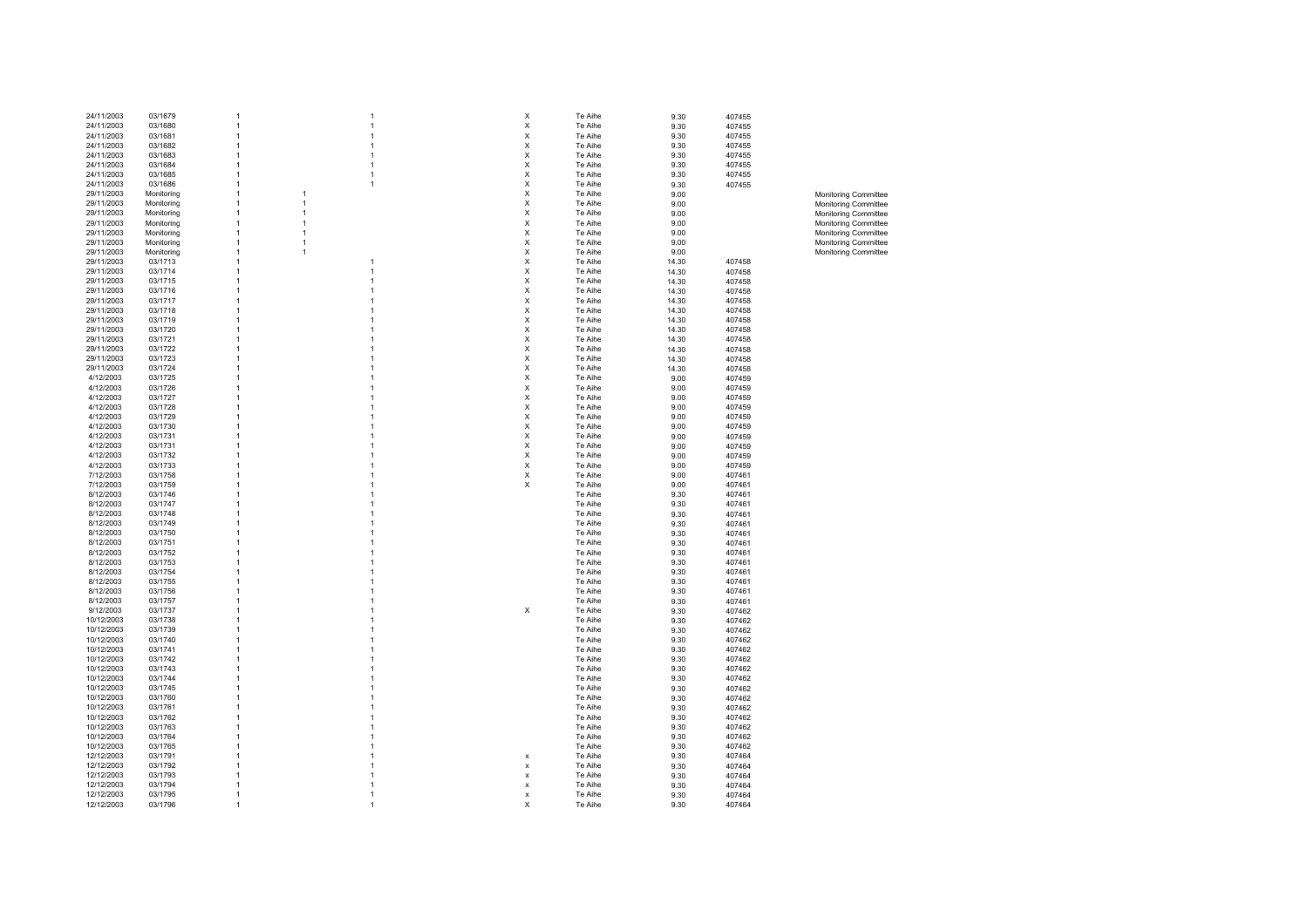| 24/11/2003 | 03/1679    |                |                |                | х                         | Te Aihe | 9.30  | 407455 |                             |
|------------|------------|----------------|----------------|----------------|---------------------------|---------|-------|--------|-----------------------------|
| 24/11/2003 | 03/1680    | 1              |                |                | X                         | Te Aihe | 9.30  | 407455 |                             |
| 24/11/2003 | 03/1681    | 1              |                |                | Χ                         | Te Aihe | 9.30  | 407455 |                             |
|            |            |                |                |                |                           |         |       |        |                             |
| 24/11/2003 | 03/1682    | 1              |                |                | $\pmb{\times}$            | Te Aihe | 9.30  | 407455 |                             |
| 24/11/2003 | 03/1683    | 1              |                |                | $\pmb{\times}$            | Te Aihe | 9.30  | 407455 |                             |
| 24/11/2003 | 03/1684    | 1              |                |                | $\pmb{\times}$            | Te Aihe | 9.30  | 407455 |                             |
| 24/11/2003 | 03/1685    | $\mathbf{1}$   |                | $\overline{1}$ | X                         | Te Aihe | 9.30  | 407455 |                             |
| 24/11/2003 | 03/1686    | $\mathbf{1}$   |                | $\overline{1}$ | X                         | Te Aihe | 9.30  | 407455 |                             |
| 29/11/2003 |            | $\mathbf{1}$   | $\overline{1}$ |                | X                         | Te Aihe |       |        |                             |
|            | Monitoring |                |                |                |                           |         | 9.00  |        | Monitoring Committee        |
| 29/11/2003 | Monitoring | $\mathbf{1}$   | $\mathbf{1}$   |                | $\pmb{\mathsf{X}}$        | Te Aihe | 9.00  |        | Monitoring Committee        |
| 29/11/2003 | Monitoring | $\mathbf{1}$   | $\mathbf{1}$   |                | $\pmb{\times}$            | Te Aihe | 9.00  |        | <b>Monitoring Committee</b> |
| 29/11/2003 | Monitoring | $\mathbf{1}$   | $\overline{1}$ |                | X                         | Te Aihe | 9.00  |        | <b>Monitoring Committee</b> |
| 29/11/2003 | Monitoring | $\overline{1}$ | $\overline{1}$ |                | X                         | Te Aihe | 9.00  |        | <b>Monitoring Committee</b> |
| 29/11/2003 | Monitoring | $\overline{1}$ | $\overline{1}$ |                | Χ                         | Te Aihe | 9.00  |        | Monitoring Committee        |
|            |            |                |                |                |                           |         |       |        |                             |
| 29/11/2003 | Monitoring | $\mathbf{1}$   | $\overline{1}$ |                | $\pmb{\times}$            | Te Aihe | 9.00  |        | Monitoring Committee        |
| 29/11/2003 | 03/1713    | $\mathbf{1}$   |                |                | $\pmb{\times}$            | Te Aihe | 14.30 | 407458 |                             |
| 29/11/2003 | 03/1714    | 1              |                | $\overline{1}$ | $\pmb{\times}$            | Te Aihe | 14.30 | 407458 |                             |
| 29/11/2003 | 03/1715    | 1              |                |                | X                         | Te Aihe | 14.30 | 407458 |                             |
| 29/11/2003 | 03/1716    | 1              |                |                | X                         | Te Aihe | 14.30 | 407458 |                             |
| 29/11/2003 | 03/1717    | 1              |                |                | $\pmb{\mathsf{X}}$        | Te Aihe | 14.30 | 407458 |                             |
|            |            |                |                |                |                           |         |       |        |                             |
| 29/11/2003 | 03/1718    | $\overline{1}$ |                |                | $\pmb{\times}$            | Te Aihe | 14.30 | 407458 |                             |
| 29/11/2003 | 03/1719    | $\mathbf{1}$   |                |                | $\pmb{\times}$            | Te Aihe | 14.30 | 407458 |                             |
| 29/11/2003 | 03/1720    | $\mathbf{1}$   |                |                | X                         | Te Aihe | 14.30 | 407458 |                             |
| 29/11/2003 | 03/1721    | 1              |                |                | X                         | Te Aihe | 14.30 | 407458 |                             |
| 29/11/2003 | 03/1722    | 1              |                |                | X                         | Te Aihe | 14.30 | 407458 |                             |
|            |            |                |                |                | Χ                         |         |       |        |                             |
| 29/11/2003 | 03/1723    | 1              |                |                |                           | Te Aihe | 14.30 | 407458 |                             |
| 29/11/2003 | 03/1724    | $\mathbf{1}$   |                |                | Χ                         | Te Aihe | 14.30 | 407458 |                             |
| 4/12/2003  | 03/1725    | $\mathbf{1}$   |                |                | X                         | Te Aihe | 9.00  | 407459 |                             |
| 4/12/2003  | 03/1726    | 1              |                |                | X                         | Te Aihe | 9.00  | 407459 |                             |
| 4/12/2003  | 03/1727    | 1              |                |                | X                         | Te Aihe | 9.00  | 407459 |                             |
| 4/12/2003  | 03/1728    | 1              |                |                | X                         | Te Aihe |       |        |                             |
|            |            |                |                |                |                           |         | 9.00  | 407459 |                             |
| 4/12/2003  | 03/1729    | 1              |                |                | Χ                         | Te Aihe | 9.00  | 407459 |                             |
| 4/12/2003  | 03/1730    | 1              |                |                | Χ                         | Te Aihe | 9.00  | 407459 |                             |
| 4/12/2003  | 03/1731    | $\mathbf{1}$   |                |                | X                         | Te Aihe | 9.00  | 407459 |                             |
| 4/12/2003  | 03/1731    | 1              |                | -1             | X                         | Te Aihe | 9.00  | 407459 |                             |
| 4/12/2003  | 03/1732    | 1              |                |                | X                         | Te Aihe | 9.00  | 407459 |                             |
| 4/12/2003  | 03/1733    | 1              |                |                | $\pmb{\times}$            | Te Aihe | 9.00  | 407459 |                             |
|            |            |                |                |                |                           |         |       |        |                             |
| 7/12/2003  | 03/1758    | 1              |                |                | $\boldsymbol{\mathsf{X}}$ | Te Aihe | 9.00  | 407461 |                             |
| 7/12/2003  | 03/1759    | 1              |                |                | X                         | Te Aihe | 9.00  | 407461 |                             |
| 8/12/2003  | 03/1746    | 1              |                |                |                           | Te Aihe | 9.30  | 407461 |                             |
| 8/12/2003  | 03/1747    | 1              |                |                |                           | Te Aihe | 9.30  | 407461 |                             |
| 8/12/2003  | 03/1748    | 1              |                |                |                           | Te Aihe | 9.30  | 407461 |                             |
| 8/12/2003  | 03/1749    | 1              |                |                |                           |         |       |        |                             |
|            |            |                |                |                |                           | Te Aihe | 9.30  | 407461 |                             |
| 8/12/2003  | 03/1750    | 1              |                |                |                           | Te Aihe | 9.30  | 407461 |                             |
| 8/12/2003  | 03/1751    | 1              |                |                |                           | Te Aihe | 9.30  | 407461 |                             |
| 8/12/2003  | 03/1752    | $\mathbf{1}$   |                |                |                           | Te Aihe | 9.30  | 407461 |                             |
| 8/12/2003  | 03/1753    | 1              |                |                |                           | Te Aihe | 9.30  | 407461 |                             |
| 8/12/2003  | 03/1754    | 1              |                |                |                           | Te Aihe | 9.30  | 407461 |                             |
|            |            | 1              |                |                |                           |         |       |        |                             |
| 8/12/2003  | 03/1755    |                |                |                |                           | Te Aihe | 9.30  | 407461 |                             |
| 8/12/2003  | 03/1756    | 1              |                |                |                           | Te Aihe | 9.30  | 407461 |                             |
| 8/12/2003  | 03/1757    | 1              |                |                |                           | Te Aihe | 9.30  | 407461 |                             |
| 9/12/2003  | 03/1737    | 1              |                |                | $\pmb{\times}$            | Te Aihe | 9.30  | 407462 |                             |
| 10/12/2003 | 03/1738    | 1              |                |                |                           | Te Aihe | 9.30  | 407462 |                             |
| 10/12/2003 | 03/1739    | 1              |                |                |                           | Te Aihe | 9.30  | 407462 |                             |
|            |            |                |                |                |                           |         |       |        |                             |
| 10/12/2003 | 03/1740    | 1              |                |                |                           | Te Aihe | 9.30  | 407462 |                             |
| 10/12/2003 | 03/1741    | 1              |                |                |                           | Te Aihe | 9.30  | 407462 |                             |
| 10/12/2003 | 03/1742    | $\mathbf{1}$   |                |                |                           | Te Aihe | 9.30  | 407462 |                             |
| 10/12/2003 | 03/1743    | 1              |                |                |                           | Te Aihe | 9.30  | 407462 |                             |
| 10/12/2003 | 03/1744    | 1              |                |                |                           | Te Aihe | 9.30  | 407462 |                             |
|            |            |                |                |                |                           |         |       |        |                             |
| 10/12/2003 | 03/1745    | 1              |                |                |                           | Te Aihe | 9.30  | 407462 |                             |
| 10/12/2003 | 03/1760    | 1              |                |                |                           | Te Aihe | 9.30  | 407462 |                             |
| 10/12/2003 | 03/1761    | 1              |                |                |                           | Te Aihe | 9.30  | 407462 |                             |
| 10/12/2003 | 03/1762    | 1              |                |                |                           | Te Aihe | 9.30  | 407462 |                             |
| 10/12/2003 | 03/1763    | 1              |                |                |                           | Te Aihe | 9.30  | 407462 |                             |
| 10/12/2003 | 03/1764    | 1              |                |                |                           | Te Aihe |       |        |                             |
|            |            |                |                |                |                           |         | 9.30  | 407462 |                             |
| 10/12/2003 | 03/1765    |                |                |                |                           | Te Aihe | 9.30  | 407462 |                             |
| 12/12/2003 | 03/1791    | 1              |                |                | X                         | Te Aihe | 9.30  | 407464 |                             |
| 12/12/2003 | 03/1792    |                |                |                | $\boldsymbol{\mathsf{x}}$ | Te Aihe | 9.30  | 407464 |                             |
| 12/12/2003 | 03/1793    | 1              |                |                | x                         | Te Aihe | 9.30  | 407464 |                             |
| 12/12/2003 | 03/1794    | 1              |                |                | x                         | Te Aihe | 9.30  | 407464 |                             |
|            |            |                |                |                |                           |         |       |        |                             |
| 12/12/2003 | 03/1795    | 1              |                |                | x                         | Te Aihe | 9.30  | 407464 |                             |
| 12/12/2003 | 03/1796    | 1              |                |                | х                         | Te Aihe | 9.30  | 407464 |                             |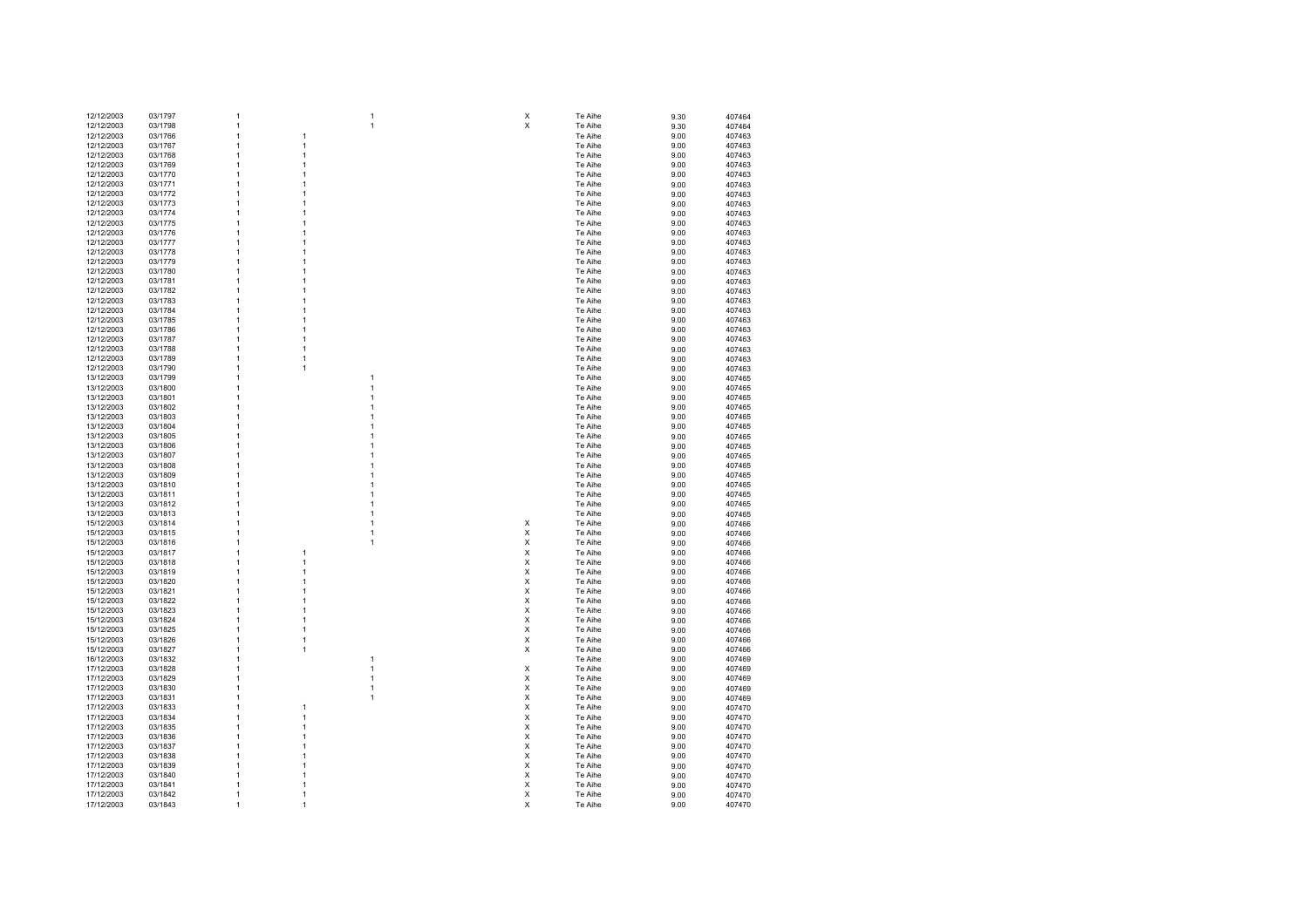| 12/12/2003 | 03/1797 | 1              |                |   | х | Te Aihe | 9.30 | 407464 |
|------------|---------|----------------|----------------|---|---|---------|------|--------|
| 12/12/2003 | 03/1798 | 1              |                | 1 | X | Te Aihe |      |        |
|            |         |                |                |   |   |         | 9.30 | 407464 |
| 12/12/2003 | 03/1766 | 1              | $\mathbf{1}$   |   |   | Te Aihe | 9.00 | 407463 |
| 12/12/2003 | 03/1767 | $\mathbf{1}$   | $\mathbf{1}$   |   |   | Te Aihe | 9.00 | 407463 |
|            |         |                |                |   |   |         |      |        |
| 12/12/2003 | 03/1768 | $\mathbf{1}$   | 1              |   |   | Te Aihe | 9.00 | 407463 |
| 12/12/2003 | 03/1769 | $\mathbf{1}$   | 1              |   |   | Te Aihe | 9.00 | 407463 |
|            |         | 1              | 1              |   |   |         |      |        |
| 12/12/2003 | 03/1770 |                |                |   |   | Te Aihe | 9.00 | 407463 |
| 12/12/2003 | 03/1771 | 1              | 1              |   |   | Te Aihe | 9.00 | 407463 |
| 12/12/2003 | 03/1772 | $\mathbf{1}$   | 1              |   |   | Te Aihe | 9.00 | 407463 |
|            |         |                |                |   |   |         |      |        |
| 12/12/2003 | 03/1773 | $\mathbf{1}$   | 1              |   |   | Te Aihe | 9.00 | 407463 |
| 12/12/2003 | 03/1774 | $\mathbf{1}$   | 1              |   |   | Te Aihe | 9.00 | 407463 |
|            |         |                |                |   |   |         |      |        |
| 12/12/2003 | 03/1775 | 1              | 1              |   |   | Te Aihe | 9.00 | 407463 |
| 12/12/2003 | 03/1776 | 1              | 1              |   |   | Te Aihe | 9.00 | 407463 |
| 12/12/2003 | 03/1777 | 1              | 1              |   |   | Te Aihe | 9.00 | 407463 |
|            |         |                |                |   |   |         |      |        |
| 12/12/2003 | 03/1778 | 1              | 1              |   |   | Te Aihe | 9.00 | 407463 |
| 12/12/2003 | 03/1779 | $\mathbf{1}$   | 1              |   |   | Te Aihe | 9.00 | 407463 |
|            |         |                |                |   |   |         |      |        |
| 12/12/2003 | 03/1780 | $\mathbf{1}$   | 1              |   |   | Te Aihe | 9.00 | 407463 |
| 12/12/2003 | 03/1781 | $\mathbf{1}$   | 1              |   |   | Te Aihe | 9.00 | 407463 |
| 12/12/2003 |         |                | 1              |   |   |         |      |        |
|            | 03/1782 | 1              |                |   |   | Te Aihe | 9.00 | 407463 |
| 12/12/2003 | 03/1783 | 1              | 1              |   |   | Te Aihe | 9.00 | 407463 |
| 12/12/2003 | 03/1784 | $\mathbf{1}$   | $\mathbf{1}$   |   |   | Te Aihe | 9.00 | 407463 |
|            |         |                |                |   |   |         |      |        |
| 12/12/2003 | 03/1785 | 1              | 1              |   |   | Te Aihe | 9.00 | 407463 |
| 12/12/2003 | 03/1786 | 1              | 1              |   |   | Te Aihe | 9.00 | 407463 |
|            |         |                |                |   |   |         |      |        |
| 12/12/2003 | 03/1787 | 1              | 1              |   |   | Te Aihe | 9.00 | 407463 |
| 12/12/2003 | 03/1788 | 1              | 1              |   |   | Te Aihe | 9.00 | 407463 |
|            |         | 1              | $\mathbf{1}$   |   |   |         |      |        |
| 12/12/2003 | 03/1789 |                |                |   |   | Te Aihe | 9.00 | 407463 |
| 12/12/2003 | 03/1790 | 1              | $\mathbf{1}$   |   |   | Te Aihe | 9.00 | 407463 |
| 13/12/2003 | 03/1799 | 1              |                | 1 |   | Te Aihe | 9.00 | 407465 |
|            |         |                |                |   |   |         |      |        |
| 13/12/2003 | 03/1800 | 1              |                | 1 |   | Te Aihe | 9.00 | 407465 |
| 13/12/2003 | 03/1801 | 1              |                |   |   | Te Aihe | 9.00 | 407465 |
|            |         |                |                |   |   |         |      |        |
| 13/12/2003 | 03/1802 | 1              |                | 1 |   | Te Aihe | 9.00 | 407465 |
| 13/12/2003 | 03/1803 | 1              |                |   |   | Te Aihe | 9.00 | 407465 |
| 13/12/2003 | 03/1804 | 1              |                |   |   | Te Aihe | 9.00 | 407465 |
|            |         |                |                |   |   |         |      |        |
| 13/12/2003 | 03/1805 | $\mathbf{1}$   |                | 1 |   | Te Aihe | 9.00 | 407465 |
| 13/12/2003 | 03/1806 | $\mathbf{1}$   |                | 1 |   | Te Aihe | 9.00 | 407465 |
|            |         |                |                |   |   |         |      |        |
| 13/12/2003 | 03/1807 | $\mathbf{1}$   |                | 1 |   | Te Aihe | 9.00 | 407465 |
| 13/12/2003 | 03/1808 | 1              |                |   |   | Te Aihe | 9.00 | 407465 |
|            | 03/1809 | 1              |                |   |   |         |      |        |
| 13/12/2003 |         |                |                |   |   | Te Aihe | 9.00 | 407465 |
| 13/12/2003 | 03/1810 | 1              |                |   |   | Te Aihe | 9.00 | 407465 |
| 13/12/2003 | 03/1811 | 1              |                |   |   | Te Aihe | 9.00 | 407465 |
|            |         |                |                |   |   |         |      |        |
| 13/12/2003 | 03/1812 | 1              |                |   |   | Te Aihe | 9.00 | 407465 |
| 13/12/2003 | 03/1813 | $\overline{1}$ |                | 1 |   | Te Aihe | 9.00 | 407465 |
|            |         | 1              |                | 1 |   |         |      |        |
| 15/12/2003 | 03/1814 |                |                |   | Χ | Te Aihe | 9.00 | 407466 |
| 15/12/2003 | 03/1815 | 1              |                | 1 | Χ | Te Aihe | 9.00 | 407466 |
| 15/12/2003 | 03/1816 | 1              |                | 1 | Χ | Te Aihe | 9.00 | 407466 |
|            |         |                |                |   |   |         |      |        |
| 15/12/2003 | 03/1817 | $\mathbf{1}$   | 1              |   | Χ | Te Aihe | 9.00 | 407466 |
| 15/12/2003 | 03/1818 | 1              | $\mathbf{1}$   |   | Χ | Te Aihe | 9.00 | 407466 |
|            |         |                |                |   |   |         |      |        |
| 15/12/2003 | 03/1819 | 1              | 1              |   | X | Te Aihe | 9.00 | 407466 |
| 15/12/2003 | 03/1820 | 1              | 1              |   | X | Te Aihe | 9.00 | 407466 |
| 15/12/2003 | 03/1821 | 1              | 1              |   | X | Te Aihe | 9.00 | 407466 |
|            |         |                |                |   |   |         |      |        |
| 15/12/2003 | 03/1822 | 1              | 1              |   | Χ | Te Aihe | 9.00 | 407466 |
| 15/12/2003 | 03/1823 | 1              | $\overline{1}$ |   | Χ | Te Aihe | 9.00 | 407466 |
|            |         |                |                |   |   |         |      |        |
| 15/12/2003 | 03/1824 | 1              | 1              |   | Χ | Te Aihe | 9.00 | 407466 |
| 15/12/2003 | 03/1825 | $\overline{1}$ | 1              |   | X | Te Aihe | 9.00 | 407466 |
|            |         | 1              |                |   | X |         |      |        |
| 15/12/2003 | 03/1826 |                | 1              |   |   | Te Aihe | 9.00 | 407466 |
| 15/12/2003 | 03/1827 | 1              | 1              |   | X | Te Aihe | 9.00 | 407466 |
| 16/12/2003 | 03/1832 | 1              |                | 1 |   | Te Aihe | 9.00 | 407469 |
|            |         |                |                |   |   |         |      |        |
| 17/12/2003 | 03/1828 | $\mathbf{1}$   |                | 1 | X | Te Aihe | 9.00 | 407469 |
| 17/12/2003 | 03/1829 | $\mathbf{1}$   |                | 1 | X | Te Aihe | 9.00 | 407469 |
|            |         |                |                |   |   |         |      |        |
| 17/12/2003 | 03/1830 | $\overline{1}$ |                | 1 | X | Te Aihe | 9.00 | 407469 |
| 17/12/2003 | 03/1831 | $\overline{1}$ |                | 1 | X | Te Aihe | 9.00 | 407469 |
| 17/12/2003 | 03/1833 | 1              | 1              |   | X | Te Aihe |      |        |
|            |         |                |                |   |   |         | 9.00 | 407470 |
| 17/12/2003 | 03/1834 | 1              | 1              |   | Χ | Te Aihe | 9.00 | 407470 |
| 17/12/2003 | 03/1835 | 1              | 1              |   | Χ | Te Aihe | 9.00 | 407470 |
|            |         |                |                |   |   |         |      |        |
| 17/12/2003 | 03/1836 | $\mathbf{1}$   | 1              |   | Χ | Te Aihe | 9.00 | 407470 |
| 17/12/2003 | 03/1837 | $\overline{1}$ | -1             |   | X | Te Aihe | 9.00 | 407470 |
|            |         | $\overline{1}$ | -1             |   | X | Te Aihe |      |        |
| 17/12/2003 | 03/1838 |                |                |   |   |         | 9.00 | 407470 |
| 17/12/2003 | 03/1839 | $\mathbf{1}$   | 1              |   | X | Te Aihe | 9.00 | 407470 |
| 17/12/2003 | 03/1840 | 1              | 1              |   | X | Te Aihe | 9.00 | 407470 |
|            |         |                |                |   |   |         |      |        |
| 17/12/2003 | 03/1841 | 1              | 1              |   | X | Te Aihe | 9.00 | 407470 |
| 17/12/2003 | 03/1842 | $\mathbf{1}$   | $\mathbf{1}$   |   | X | Te Aihe | 9.00 | 407470 |
|            |         | $\mathbf{1}$   | $\mathbf{1}$   |   | X |         |      |        |
| 17/12/2003 | 03/1843 |                |                |   |   | Te Aihe | 9.00 | 407470 |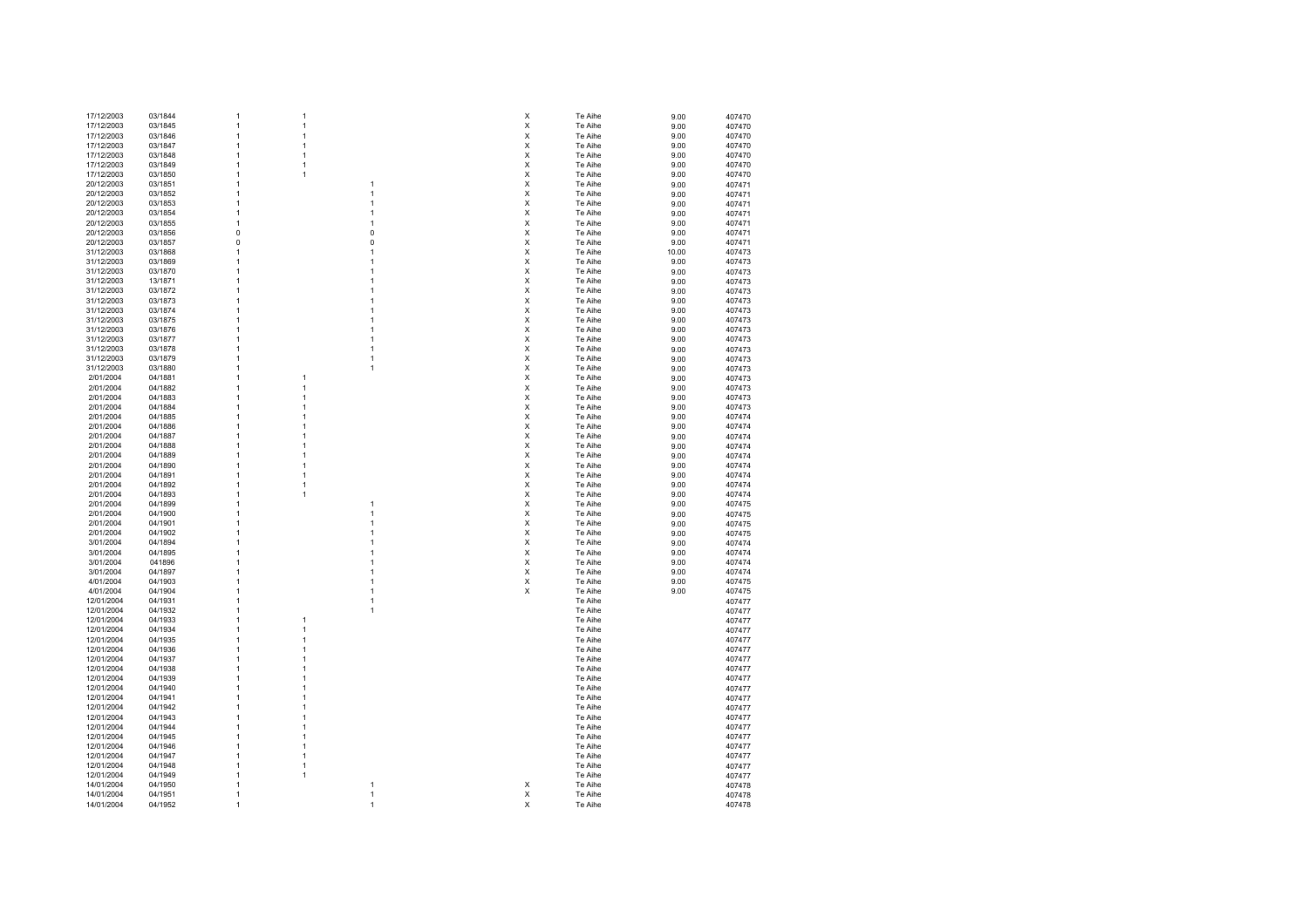| 17/12/2003 | 03/1844 |              | 1              |                | X | Te Aihe | 9.00  | 407470 |
|------------|---------|--------------|----------------|----------------|---|---------|-------|--------|
| 17/12/2003 | 03/1845 |              | $\overline{1}$ |                | X | Te Aihe | 9.00  | 407470 |
| 17/12/2003 | 03/1846 |              | $\overline{1}$ |                | X | Te Aihe |       |        |
|            |         |              |                |                |   |         | 9.00  | 407470 |
| 17/12/2003 | 03/1847 |              | $\overline{1}$ |                | X | Te Aihe | 9.00  | 407470 |
| 17/12/2003 | 03/1848 |              | $\overline{1}$ |                | X | Te Aihe | 9.00  | 407470 |
| 17/12/2003 | 03/1849 | 1            | $\overline{1}$ |                | X | Te Aihe | 9.00  | 407470 |
| 17/12/2003 | 03/1850 | 1            | $\overline{1}$ |                | X | Te Aihe | 9.00  | 407470 |
|            |         |              |                |                |   |         |       |        |
| 20/12/2003 | 03/1851 | 1            |                | 1              | X | Te Aihe | 9.00  | 407471 |
| 20/12/2003 | 03/1852 | $\mathbf{1}$ |                | 1              | X | Te Aihe | 9.00  | 407471 |
| 20/12/2003 | 03/1853 | $\mathbf{1}$ |                | 1              | X | Te Aihe | 9.00  | 407471 |
| 20/12/2003 | 03/1854 | $\mathbf{1}$ |                | 1              | X | Te Aihe |       |        |
|            |         |              |                |                |   |         | 9.00  | 407471 |
| 20/12/2003 | 03/1855 | $\mathbf{1}$ |                | $\overline{1}$ | X | Te Aihe | 9.00  | 407471 |
| 20/12/2003 | 03/1856 | 0            |                | $\pmb{0}$      | X | Te Aihe | 9.00  | 407471 |
| 20/12/2003 | 03/1857 | 0            |                | 0              | X | Te Aihe | 9.00  | 407471 |
|            |         |              |                | 1              | Χ |         |       |        |
| 31/12/2003 | 03/1868 |              |                |                |   | Te Aihe | 10.00 | 407473 |
| 31/12/2003 | 03/1869 |              |                | 1              | Χ | Te Aihe | 9.00  | 407473 |
| 31/12/2003 | 03/1870 |              |                |                | X | Te Aihe | 9.00  | 407473 |
| 31/12/2003 | 13/1871 |              |                |                | X | Te Aihe | 9.00  | 407473 |
|            |         |              |                |                | X |         |       |        |
| 31/12/2003 | 03/1872 |              |                |                |   | Te Aihe | 9.00  | 407473 |
| 31/12/2003 | 03/1873 | 1            |                |                | X | Te Aihe | 9.00  | 407473 |
| 31/12/2003 | 03/1874 |              |                |                | X | Te Aihe | 9.00  | 407473 |
| 31/12/2003 | 03/1875 | 1            |                | 1              | X | Te Aihe | 9.00  | 407473 |
| 31/12/2003 | 03/1876 | 1            |                | 1              | X |         |       |        |
|            |         |              |                |                |   | Te Aihe | 9.00  | 407473 |
| 31/12/2003 | 03/1877 | 1            |                | 1              | X | Te Aihe | 9.00  | 407473 |
| 31/12/2003 | 03/1878 | -1           |                | 1              | X | Te Aihe | 9.00  | 407473 |
| 31/12/2003 | 03/1879 |              |                | 1              | Χ | Te Aihe | 9.00  | 407473 |
|            |         |              |                |                |   |         |       |        |
| 31/12/2003 | 03/1880 |              |                | 1              | Χ | Te Aihe | 9.00  | 407473 |
| 2/01/2004  | 04/1881 |              | $\overline{1}$ |                | Χ | Te Aihe | 9.00  | 407473 |
| 2/01/2004  | 04/1882 |              | $\overline{1}$ |                | X | Te Aihe | 9.00  | 407473 |
| 2/01/2004  | 04/1883 | -1           | $\overline{1}$ |                | X | Te Aihe | 9.00  | 407473 |
|            |         | -1           | $\overline{1}$ |                | X |         |       |        |
| 2/01/2004  | 04/1884 |              |                |                |   | Te Aihe | 9.00  | 407473 |
| 2/01/2004  | 04/1885 | 1            | 1              |                | Χ | Te Aihe | 9.00  | 407474 |
| 2/01/2004  | 04/1886 | 1            | $\overline{1}$ |                | Χ | Te Aihe | 9.00  | 407474 |
| 2/01/2004  | 04/1887 | 1            | 1              |                | X | Te Aihe | 9.00  | 407474 |
|            |         |              |                |                |   |         |       |        |
| 2/01/2004  | 04/1888 | 1            | $\overline{1}$ |                | X | Te Aihe | 9.00  | 407474 |
| 2/01/2004  | 04/1889 | 1            | $\overline{1}$ |                | X | Te Aihe | 9.00  | 407474 |
| 2/01/2004  | 04/1890 | 1            | $\overline{1}$ |                | X | Te Aihe | 9.00  | 407474 |
| 2/01/2004  | 04/1891 | 1            | $\overline{1}$ |                | X | Te Aihe | 9.00  | 407474 |
| 2/01/2004  | 04/1892 | -1           | $\mathbf{1}$   |                | X | Te Aihe |       |        |
|            |         |              |                |                |   |         | 9.00  | 407474 |
| 2/01/2004  | 04/1893 |              | $\overline{1}$ |                | x | Te Aihe | 9.00  | 407474 |
| 2/01/2004  | 04/1899 |              |                | 1              | X | Te Aihe | 9.00  | 407475 |
| 2/01/2004  | 04/1900 |              |                | 1              | X | Te Aihe | 9.00  | 407475 |
| 2/01/2004  | 04/1901 |              |                | 1              | X | Te Aihe | 9.00  | 407475 |
|            |         |              |                |                |   |         |       |        |
| 2/01/2004  | 04/1902 | -1           |                |                | X | Te Aihe | 9.00  | 407475 |
| 3/01/2004  | 04/1894 | -1           |                | 1              | X | Te Aihe | 9.00  | 407474 |
| 3/01/2004  | 04/1895 |              |                |                | X | Te Aihe | 9.00  | 407474 |
| 3/01/2004  | 041896  |              |                |                | X | Te Aihe | 9.00  | 407474 |
|            |         |              |                |                |   |         |       |        |
| 3/01/2004  | 04/1897 | 1            |                | 1              | X | Te Aihe | 9.00  | 407474 |
| 4/01/2004  | 04/1903 | -1           |                | 1              | X | Te Aihe | 9.00  | 407475 |
| 4/01/2004  | 04/1904 | -1           |                | 1              | X | Te Aihe | 9.00  | 407475 |
| 12/01/2004 | 04/1931 |              |                | 1              |   | Te Aihe |       | 407477 |
|            |         |              |                |                |   |         |       |        |
| 12/01/2004 | 04/1932 |              |                | 1              |   | Te Aihe |       | 407477 |
| 12/01/2004 | 04/1933 |              | $\overline{1}$ |                |   | Te Aihe |       | 407477 |
| 12/01/2004 | 04/1934 | -1           | $\overline{1}$ |                |   | Te Aihe |       | 407477 |
| 12/01/2004 | 04/1935 | -1           | 1              |                |   | Te Aihe |       | 407477 |
| 12/01/2004 |         | -1           | $\overline{1}$ |                |   | Te Aihe |       |        |
|            | 04/1936 |              |                |                |   |         |       | 407477 |
| 12/01/2004 | 04/1937 | 1            | 1              |                |   | Te Aihe |       | 407477 |
| 12/01/2004 | 04/1938 | 1            | 1              |                |   | Te Aihe |       | 407477 |
| 12/01/2004 | 04/1939 | 1            | 1              |                |   | Te Aihe |       | 407477 |
|            | 04/1940 | 1            | $\overline{1}$ |                |   |         |       |        |
| 12/01/2004 |         |              |                |                |   | Te Aihe |       | 407477 |
| 12/01/2004 | 04/1941 | 1            | $\mathbf{1}$   |                |   | Te Aihe |       | 407477 |
| 12/01/2004 | 04/1942 | 1            | $\mathbf{1}$   |                |   | Te Aihe |       | 407477 |
| 12/01/2004 | 04/1943 | -1           | 1              |                |   | Te Aihe |       | 407477 |
|            |         | -1           |                |                |   |         |       |        |
| 12/01/2004 | 04/1944 |              | $\mathbf{1}$   |                |   | Te Aihe |       | 407477 |
| 12/01/2004 | 04/1945 |              | $\overline{1}$ |                |   | Te Aihe |       | 407477 |
| 12/01/2004 | 04/1946 | -1           | $\overline{1}$ |                |   | Te Aihe |       | 407477 |
| 12/01/2004 | 04/1947 | -1           | $\overline{1}$ |                |   | Te Aihe |       | 407477 |
|            |         |              |                |                |   |         |       |        |
| 12/01/2004 | 04/1948 | -1           | $\overline{1}$ |                |   | Te Aihe |       | 407477 |
| 12/01/2004 | 04/1949 | -1           | $\overline{1}$ |                |   | Te Aihe |       | 407477 |
| 14/01/2004 | 04/1950 | 1            |                | 1              | х | Te Aihe |       | 407478 |
| 14/01/2004 | 04/1951 | 1            |                | $\overline{1}$ | х | Te Aihe |       | 407478 |
|            |         |              |                | 1              | X | Te Aihe |       | 407478 |
| 14/01/2004 | 04/1952 | $\mathbf{1}$ |                |                |   |         |       |        |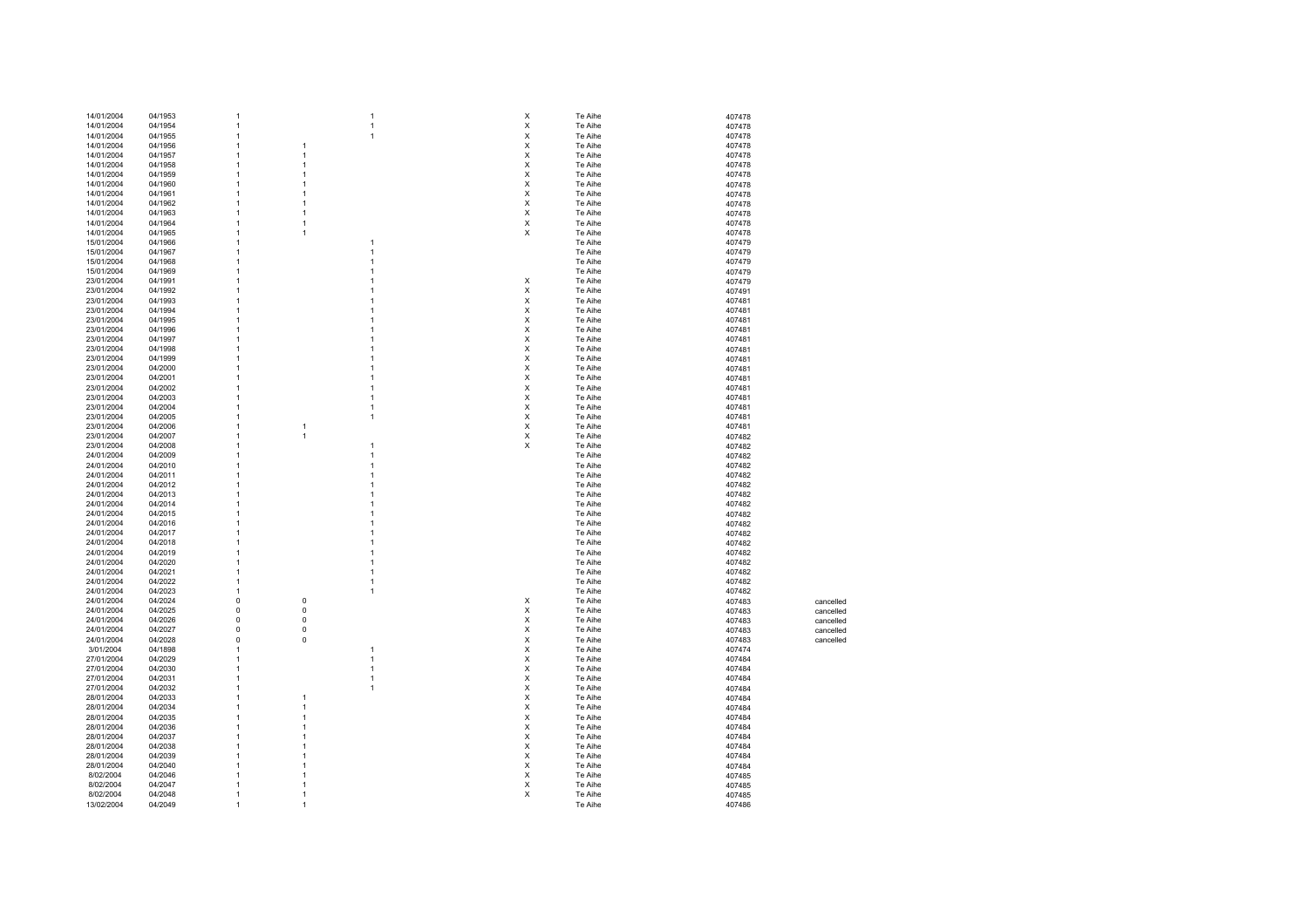| 14/01/2004 | 04/1953 | 1              |                | $\overline{1}$ | X | Te Aihe | 407478 |           |
|------------|---------|----------------|----------------|----------------|---|---------|--------|-----------|
| 14/01/2004 | 04/1954 | 1              |                | $\overline{1}$ | X | Te Aihe | 407478 |           |
|            |         |                |                |                |   |         |        |           |
| 14/01/2004 | 04/1955 | -1             |                | $\overline{1}$ | X | Te Aihe | 407478 |           |
| 14/01/2004 | 04/1956 | -1             | $\mathbf{1}$   |                | х | Te Aihe | 407478 |           |
|            |         |                |                |                |   |         |        |           |
| 14/01/2004 | 04/1957 | -1             | $\mathbf{1}$   |                | х | Te Aihe | 407478 |           |
| 14/01/2004 | 04/1958 | $\mathbf{1}$   | $\overline{1}$ |                | х | Te Aihe | 407478 |           |
| 14/01/2004 | 04/1959 | 1              | $\overline{1}$ |                | X | Te Aihe | 407478 |           |
|            |         |                |                |                |   |         |        |           |
| 14/01/2004 | 04/1960 | 1              | $\overline{1}$ |                | X | Te Aihe | 407478 |           |
| 14/01/2004 | 04/1961 | 1              | $\overline{1}$ |                | X | Te Aihe | 407478 |           |
|            |         |                |                |                |   |         |        |           |
| 14/01/2004 | 04/1962 | 1              | $\overline{1}$ |                | X | Te Aihe | 407478 |           |
| 14/01/2004 | 04/1963 | 1              | $\overline{1}$ |                | Χ | Te Aihe | 407478 |           |
| 14/01/2004 | 04/1964 | $\overline{1}$ | $\overline{1}$ |                | X | Te Aihe | 407478 |           |
|            |         |                |                |                |   |         |        |           |
| 14/01/2004 | 04/1965 | $\overline{1}$ | $\overline{1}$ |                | Χ | Te Aihe | 407478 |           |
| 15/01/2004 | 04/1966 | $\overline{1}$ |                |                |   | Te Aihe | 407479 |           |
|            |         |                |                |                |   |         |        |           |
| 15/01/2004 | 04/1967 | 1              |                | 1              |   | Te Aihe | 407479 |           |
| 15/01/2004 | 04/1968 | 1              |                | 1              |   | Te Aihe | 407479 |           |
| 15/01/2004 | 04/1969 |                |                |                |   | Te Aihe | 407479 |           |
|            |         |                |                |                |   |         |        |           |
| 23/01/2004 | 04/1991 |                |                |                | X | Te Aihe | 407479 |           |
| 23/01/2004 | 04/1992 |                |                |                | х | Te Aihe | 407491 |           |
|            |         |                |                |                |   |         |        |           |
| 23/01/2004 | 04/1993 |                |                |                | х | Te Aihe | 407481 |           |
| 23/01/2004 | 04/1994 |                |                |                | х | Te Aihe | 407481 |           |
| 23/01/2004 | 04/1995 |                |                |                | х | Te Aihe | 407481 |           |
|            |         |                |                |                |   |         |        |           |
| 23/01/2004 | 04/1996 |                |                | 1              | X | Te Aihe | 407481 |           |
| 23/01/2004 | 04/1997 |                |                |                | Χ | Te Aihe | 407481 |           |
|            |         |                |                |                |   |         |        |           |
| 23/01/2004 | 04/1998 |                |                | 1              | Χ | Te Aihe | 407481 |           |
| 23/01/2004 | 04/1999 |                |                |                | X | Te Aihe | 407481 |           |
| 23/01/2004 | 04/2000 |                |                |                | X | Te Aihe | 407481 |           |
|            |         |                |                |                |   |         |        |           |
| 23/01/2004 | 04/2001 |                |                | 1              | X | Te Aihe | 407481 |           |
| 23/01/2004 | 04/2002 | 1              |                | 1              | X | Te Aihe | 407481 |           |
|            |         |                |                |                |   |         |        |           |
| 23/01/2004 | 04/2003 |                |                | 1              | X | Te Aihe | 407481 |           |
| 23/01/2004 | 04/2004 |                |                | 1              | X | Te Aihe | 407481 |           |
| 23/01/2004 | 04/2005 |                |                | 1              | Χ | Te Aihe |        |           |
|            |         |                |                |                |   |         | 407481 |           |
| 23/01/2004 | 04/2006 |                | $\overline{1}$ |                | X | Te Aihe | 407481 |           |
| 23/01/2004 | 04/2007 |                | $\overline{1}$ |                | X | Te Aihe | 407482 |           |
|            |         |                |                |                |   |         |        |           |
| 23/01/2004 | 04/2008 |                |                | 1              | X | Te Aihe | 407482 |           |
| 24/01/2004 | 04/2009 |                |                | 1              |   | Te Aihe | 407482 |           |
| 24/01/2004 |         |                |                |                |   |         |        |           |
|            | 04/2010 |                |                |                |   | Te Aihe | 407482 |           |
| 24/01/2004 | 04/2011 |                |                |                |   | Te Aihe | 407482 |           |
| 24/01/2004 | 04/2012 | -1             |                |                |   | Te Aihe | 407482 |           |
|            |         |                |                |                |   |         |        |           |
| 24/01/2004 | 04/2013 |                |                |                |   | Te Aihe | 407482 |           |
| 24/01/2004 | 04/2014 | 1              |                |                |   | Te Aihe | 407482 |           |
|            | 04/2015 | -1             |                |                |   | Te Aihe |        |           |
| 24/01/2004 |         |                |                |                |   |         | 407482 |           |
| 24/01/2004 | 04/2016 | -1             |                |                |   | Te Aihe | 407482 |           |
| 24/01/2004 | 04/2017 |                |                |                |   | Te Aihe | 407482 |           |
|            |         |                |                |                |   |         |        |           |
| 24/01/2004 | 04/2018 |                |                |                |   | Te Aihe | 407482 |           |
| 24/01/2004 | 04/2019 |                |                |                |   | Te Aihe | 407482 |           |
|            |         | 1              |                |                |   |         |        |           |
| 24/01/2004 | 04/2020 |                |                |                |   | Te Aihe | 407482 |           |
| 24/01/2004 | 04/2021 | $\overline{1}$ |                | 1              |   | Te Aihe | 407482 |           |
| 24/01/2004 | 04/2022 | $\overline{1}$ |                | 1              |   | Te Aihe | 407482 |           |
|            |         |                |                | 1              |   |         |        |           |
| 24/01/2004 | 04/2023 | $\overline{1}$ |                |                |   | Te Aihe | 407482 |           |
| 24/01/2004 | 04/2024 | $\mathbf 0$    | $\pmb{0}$      |                | X | Te Aihe | 407483 | cancelled |
| 24/01/2004 | 04/2025 | $\mathbf 0$    | $\pmb{0}$      |                | X | Te Aihe | 407483 | cancelled |
|            |         |                |                |                |   |         |        |           |
| 24/01/2004 | 04/2026 | $\mathbf 0$    | $\pmb{0}$      |                | X | Te Aihe | 407483 | cancelled |
| 24/01/2004 | 04/2027 | $\mathbf 0$    | $\pmb{0}$      |                | X | Te Aihe | 407483 | cancelled |
|            |         |                |                |                |   |         |        |           |
| 24/01/2004 | 04/2028 | 0              | $\pmb{0}$      |                | Х | Te Aihe | 407483 | cancelled |
| 3/01/2004  | 04/1898 | $\mathbf{1}$   |                | 1              | X | Te Aihe | 407474 |           |
| 27/01/2004 | 04/2029 | $\overline{1}$ |                | 1              | X | Te Aihe |        |           |
|            |         |                |                |                |   |         | 407484 |           |
| 27/01/2004 | 04/2030 | $\overline{1}$ |                | 1              | х | Te Aihe | 407484 |           |
| 27/01/2004 | 04/2031 | -1             |                | 1              | х | Te Aihe | 407484 |           |
|            |         |                |                |                |   |         |        |           |
| 27/01/2004 | 04/2032 | 1              |                | 1              | X | Te Aihe | 407484 |           |
| 28/01/2004 | 04/2033 | 1              | $\mathbf{1}$   |                | х | Te Aihe | 407484 |           |
| 28/01/2004 | 04/2034 | 1              | $\overline{1}$ |                | X | Te Aihe |        |           |
|            |         |                |                |                |   |         | 407484 |           |
| 28/01/2004 | 04/2035 | 1              | $\mathbf{1}$   |                | X | Te Aihe | 407484 |           |
| 28/01/2004 | 04/2036 | -1             | $\mathbf{1}$   |                | X | Te Aihe | 407484 |           |
|            |         |                |                |                |   |         |        |           |
| 28/01/2004 | 04/2037 | 1              | $\mathbf{1}$   |                | X | Te Aihe | 407484 |           |
| 28/01/2004 | 04/2038 | 1              | $\mathbf{1}$   |                | Χ | Te Aihe | 407484 |           |
|            |         |                |                |                |   |         |        |           |
| 28/01/2004 | 04/2039 | 1              | $\mathbf{1}$   |                | X | Te Aihe | 407484 |           |
| 28/01/2004 | 04/2040 | $\overline{1}$ | $\mathbf{1}$   |                | X | Te Aihe | 407484 |           |
| 8/02/2004  | 04/2046 | $\overline{1}$ | $\overline{1}$ |                | X | Te Aihe | 407485 |           |
|            |         |                |                |                |   |         |        |           |
| 8/02/2004  | 04/2047 | $\overline{1}$ | $\overline{1}$ |                | X | Te Aihe | 407485 |           |
| 8/02/2004  | 04/2048 | 1              | $\overline{1}$ |                | X | Te Aihe | 407485 |           |
|            |         |                | $\overline{1}$ |                |   |         |        |           |
| 13/02/2004 | 04/2049 |                |                |                |   | Te Aihe | 407486 |           |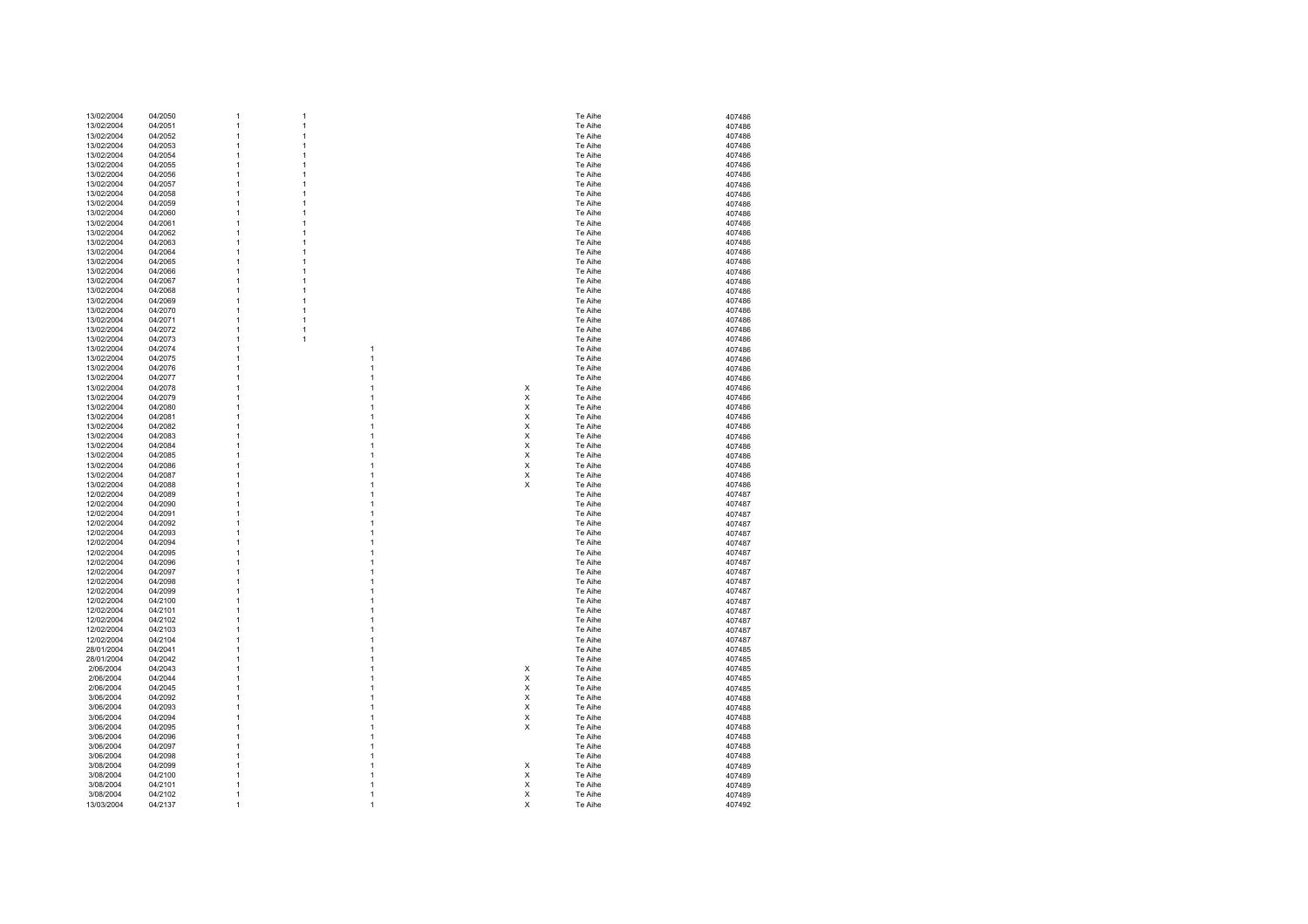| 13/02/2004 | 04/2050 | 1            | 1 |              |   | Te Aihe | 407486 |
|------------|---------|--------------|---|--------------|---|---------|--------|
| 13/02/2004 | 04/2051 | 1            | 1 |              |   | Te Aihe | 407486 |
|            |         |              |   |              |   |         |        |
| 13/02/2004 | 04/2052 | 1            | 1 |              |   | Te Aihe | 407486 |
| 13/02/2004 | 04/2053 | 1            | 1 |              |   | Te Aihe | 407486 |
| 13/02/2004 | 04/2054 | 1            | 1 |              |   | Te Aihe |        |
|            |         |              |   |              |   |         | 407486 |
| 13/02/2004 | 04/2055 | 1            | 1 |              |   | Te Aihe | 407486 |
| 13/02/2004 | 04/2056 | 1            | 1 |              |   | Te Aihe | 407486 |
|            |         |              |   |              |   |         |        |
| 13/02/2004 | 04/2057 | 1            | 1 |              |   | Te Aihe | 407486 |
| 13/02/2004 | 04/2058 | 1            | 1 |              |   | Te Aihe | 407486 |
|            |         |              |   |              |   |         |        |
| 13/02/2004 | 04/2059 | 1            | 1 |              |   | Te Aihe | 407486 |
| 13/02/2004 | 04/2060 | 1            | 1 |              |   | Te Aihe | 407486 |
|            |         |              |   |              |   | Te Aihe |        |
| 13/02/2004 | 04/2061 | 1            | 1 |              |   |         | 407486 |
| 13/02/2004 | 04/2062 | 1            | 1 |              |   | Te Aihe | 407486 |
| 13/02/2004 | 04/2063 | 1            | 1 |              |   | Te Aihe |        |
|            |         |              |   |              |   |         | 407486 |
| 13/02/2004 | 04/2064 | 1            | 1 |              |   | Te Aihe | 407486 |
| 13/02/2004 | 04/2065 | 1            | 1 |              |   | Te Aihe | 407486 |
|            |         |              |   |              |   |         |        |
| 13/02/2004 | 04/2066 | 1            | 1 |              |   | Te Aihe | 407486 |
| 13/02/2004 | 04/2067 | 1            | 1 |              |   | Te Aihe | 407486 |
|            |         |              |   |              |   |         |        |
| 13/02/2004 | 04/2068 | 1            | 1 |              |   | Te Aihe | 407486 |
| 13/02/2004 | 04/2069 | 1            | 1 |              |   | Te Aihe | 407486 |
|            |         | 1            |   |              |   |         |        |
| 13/02/2004 | 04/2070 |              | 1 |              |   | Te Aihe | 407486 |
| 13/02/2004 | 04/2071 | 1            | 1 |              |   | Te Aihe | 407486 |
| 13/02/2004 | 04/2072 | 1            | 1 |              |   | Te Aihe | 407486 |
|            |         |              |   |              |   |         |        |
| 13/02/2004 | 04/2073 | 1            | 1 |              |   | Te Aihe | 407486 |
| 13/02/2004 | 04/2074 | 1            |   | 1            |   | Te Aihe | 407486 |
|            |         |              |   |              |   |         |        |
| 13/02/2004 | 04/2075 | 1            |   | 1            |   | Te Aihe | 407486 |
| 13/02/2004 | 04/2076 | 1            |   | 1            |   | Te Aihe | 407486 |
|            |         | 1            |   | 1            |   |         |        |
| 13/02/2004 | 04/2077 |              |   |              |   | Te Aihe | 407486 |
| 13/02/2004 | 04/2078 | 1            |   | 1            | X | Te Aihe | 407486 |
| 13/02/2004 | 04/2079 | 1            |   | 1            | X | Te Aihe | 407486 |
|            |         |              |   |              |   |         |        |
| 13/02/2004 | 04/2080 | 1            |   | 1            | X | Te Aihe | 407486 |
| 13/02/2004 | 04/2081 | 1            |   | 1            | X | Te Aihe | 407486 |
|            |         |              |   |              |   |         |        |
| 13/02/2004 | 04/2082 | 1            |   | 1            | X | Te Aihe | 407486 |
| 13/02/2004 | 04/2083 | 1            |   | 1            | X | Te Aihe | 407486 |
|            |         |              |   |              |   |         |        |
| 13/02/2004 | 04/2084 | 1            |   | 1            | X | Te Aihe | 407486 |
| 13/02/2004 | 04/2085 | 1            |   | 1            | X | Te Aihe | 407486 |
| 13/02/2004 | 04/2086 | 1            |   | 1            | x | Te Aihe | 407486 |
|            |         |              |   |              |   |         |        |
| 13/02/2004 | 04/2087 | 1            |   | 1            | X | Te Aihe | 407486 |
| 13/02/2004 | 04/2088 | 1            |   | 1            | X | Te Aihe | 407486 |
|            |         |              |   |              |   |         |        |
| 12/02/2004 | 04/2089 | 1            |   | 1            |   | Te Aihe | 407487 |
| 12/02/2004 | 04/2090 | 1            |   | 1            |   | Te Aihe | 407487 |
| 12/02/2004 | 04/2091 | 1            |   | 1            |   | Te Aihe |        |
|            |         |              |   |              |   |         | 407487 |
| 12/02/2004 | 04/2092 | 1            |   | 1            |   | Te Aihe | 407487 |
| 12/02/2004 | 04/2093 | 1            |   | 1            |   | Te Aihe | 407487 |
|            |         |              |   |              |   |         |        |
| 12/02/2004 | 04/2094 | 1            |   | 1            |   | Te Aihe | 407487 |
| 12/02/2004 | 04/2095 | 1            |   | 1            |   | Te Aihe | 407487 |
| 12/02/2004 |         | 1            |   | 1            |   | Te Aihe |        |
|            | 04/2096 |              |   |              |   |         | 407487 |
| 12/02/2004 | 04/2097 | 1            |   | 1            |   | Te Aihe | 407487 |
| 12/02/2004 | 04/2098 | 1            |   | 1            |   | Te Aihe | 407487 |
|            |         |              |   |              |   |         |        |
| 12/02/2004 | 04/2099 | 1            |   | 1            |   | Te Aihe | 407487 |
| 12/02/2004 | 04/2100 | 1            |   | 1            |   | Te Aihe | 407487 |
|            |         |              |   |              |   |         |        |
| 12/02/2004 | 04/2101 | 1            |   | 1            |   | Te Aihe | 407487 |
| 12/02/2004 | 04/2102 | 1            |   | 1            |   | Te Aihe | 407487 |
| 12/02/2004 | 04/2103 | 1            |   | 1            |   | Te Aihe | 407487 |
|            |         |              |   |              |   |         |        |
| 12/02/2004 | 04/2104 | 1            |   | 1            |   | Te Aihe | 407487 |
| 28/01/2004 | 04/2041 | 1            |   | 1            |   | Te Aihe | 407485 |
|            |         |              |   |              |   |         |        |
| 28/01/2004 | 04/2042 | 1            |   | 1            |   | Te Aihe | 407485 |
| 2/06/2004  | 04/2043 | 1            |   | 1            | х | Te Aihe | 407485 |
|            |         |              |   |              |   |         |        |
| 2/06/2004  | 04/2044 | 1            |   | 1            | X | Te Aihe | 407485 |
| 2/06/2004  | 04/2045 | 1            |   | 1            | X | Te Aihe | 407485 |
| 3/06/2004  | 04/2092 | 1            |   | 1            | X | Te Aihe | 407488 |
|            |         |              |   |              |   |         |        |
| 3/06/2004  | 04/2093 | 1            |   | 1            | X | Te Aihe | 407488 |
| 3/06/2004  | 04/2094 | 1            |   | 1            | X | Te Aihe | 407488 |
|            |         |              |   |              |   |         |        |
| 3/06/2004  | 04/2095 | 1            |   | 1            | X | Te Aihe | 407488 |
| 3/06/2004  | 04/2096 | 1            |   | 1            |   | Te Aihe | 407488 |
|            |         | 1            |   | 1            |   | Te Aihe |        |
| 3/06/2004  | 04/2097 |              |   |              |   |         | 407488 |
| 3/06/2004  | 04/2098 | 1            |   | 1            |   | Te Aihe | 407488 |
| 3/08/2004  | 04/2099 | 1            |   | 1            | X | Te Aihe | 407489 |
|            |         |              |   |              |   |         |        |
| 3/08/2004  | 04/2100 | 1            |   | 1            | X | Te Aihe | 407489 |
| 3/08/2004  | 04/2101 | 1            |   | 1            | X | Te Aihe | 407489 |
|            |         | $\mathbf{1}$ |   | $\mathbf{1}$ | X |         |        |
| 3/08/2004  | 04/2102 |              |   |              |   | Te Aihe | 407489 |
|            |         |              |   | 1            | X | Te Aihe | 407492 |
| 13/03/2004 | 04/2137 | 1            |   |              |   |         |        |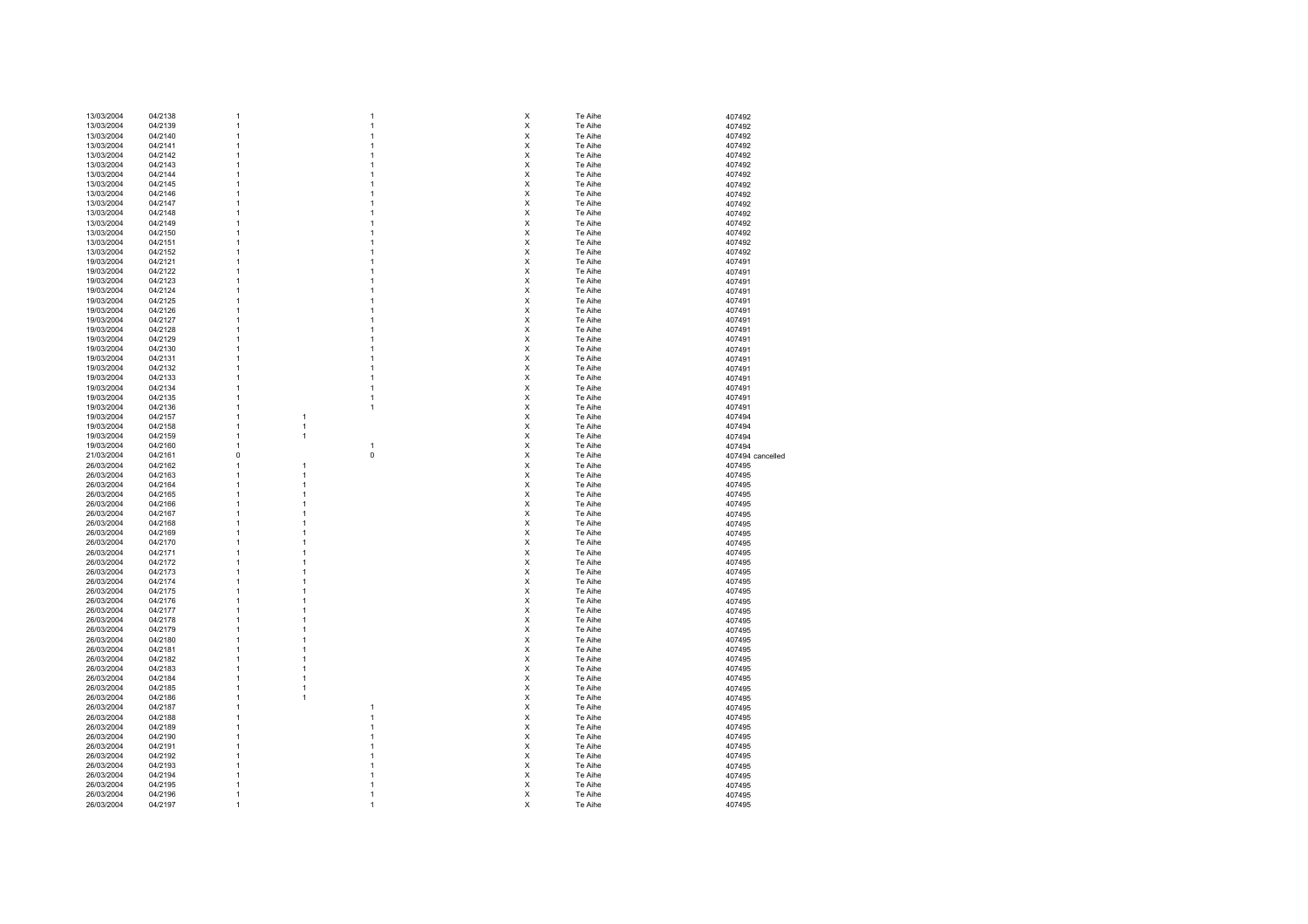| 13/03/2004               | 04/2138            | $\overline{1}$                 |                                | 1                 | х                   | Te Aihe            | 407492           |
|--------------------------|--------------------|--------------------------------|--------------------------------|-------------------|---------------------|--------------------|------------------|
| 13/03/2004               | 04/2139            | $\overline{1}$                 |                                | 1                 | X                   | Te Aihe            | 407492           |
| 13/03/2004               | 04/2140            | $\mathbf{1}$                   |                                | $\mathbf{1}$      | X                   | Te Aihe            | 407492           |
| 13/03/2004               | 04/2141            | $\overline{1}$                 |                                | 1                 | $\pmb{\times}$      | Te Aihe            | 407492           |
| 13/03/2004               | 04/2142            | $\overline{1}$                 |                                | 1                 | $\pmb{\times}$      | Te Aihe            | 407492           |
| 13/03/2004               | 04/2143            | $\mathbf{1}$                   |                                | 1                 | X                   | Te Aihe            | 407492           |
| 13/03/2004               | 04/2144            | $\overline{1}$                 |                                | 1                 | $\pmb{\times}$      | Te Aihe            | 407492           |
| 13/03/2004               | 04/2145            | $\mathbf{1}$                   |                                | 1                 | $\pmb{\times}$      | Te Aihe            | 407492           |
|                          |                    |                                |                                | 1                 |                     |                    |                  |
| 13/03/2004               | 04/2146            | $\overline{1}$                 |                                |                   | X                   | Te Aihe            | 407492           |
| 13/03/2004               | 04/2147            | $\overline{1}$                 |                                | 1                 | $\times$            | Te Aihe            | 407492           |
| 13/03/2004               | 04/2148            | $\overline{1}$                 |                                | 1                 | X                   | Te Aihe            | 407492           |
| 13/03/2004               | 04/2149            | $\overline{1}$                 |                                | 1                 | X                   | Te Aihe            | 407492           |
| 13/03/2004               | 04/2150            | $\mathbf{1}$                   |                                | 1                 | X                   | Te Aihe            | 407492           |
| 13/03/2004               | 04/2151            | $\mathbf{1}$                   |                                | 1                 | X                   | Te Aihe            | 407492           |
| 13/03/2004               | 04/2152            | $\overline{1}$                 |                                | 1                 | X                   | Te Aihe            | 407492           |
| 19/03/2004               | 04/2121            | $\overline{1}$                 |                                | 1                 | $\pmb{\times}$      | Te Aihe            | 407491           |
| 19/03/2004               | 04/2122            | $\overline{1}$                 |                                | $\mathbf{1}$      | X                   | Te Aihe            | 407491           |
| 19/03/2004               | 04/2123            | $\overline{1}$                 |                                | 1                 | $\pmb{\times}$      | Te Aihe            | 407491           |
| 19/03/2004               | 04/2124            | $\overline{1}$                 |                                | 1                 | $\pmb{\times}$      | Te Aihe            |                  |
|                          |                    |                                |                                |                   |                     |                    | 407491           |
| 19/03/2004               | 04/2125            | $\mathbf{1}$                   |                                | 1                 | $\pmb{\times}$      | Te Aihe            | 407491           |
| 19/03/2004               | 04/2126            | $\overline{1}$                 |                                | 1                 | $\pmb{\times}$      | Te Aihe            | 407491           |
| 19/03/2004               | 04/2127            | $\overline{1}$                 |                                | 1                 | $\pmb{\times}$      | Te Aihe            | 407491           |
| 19/03/2004               | 04/2128            | $\overline{1}$                 |                                | 1                 | X                   | Te Aihe            | 407491           |
| 19/03/2004               | 04/2129            | $\overline{1}$                 |                                | 1                 | $\times$            | Te Aihe            | 407491           |
| 19/03/2004               | 04/2130            | $\mathbf{1}$                   |                                | 1                 | X                   | Te Aihe            | 407491           |
| 19/03/2004               | 04/2131            | $\overline{1}$                 |                                | 1                 | X                   | Te Aihe            | 407491           |
| 19/03/2004               | 04/2132            | $\mathbf{1}$                   |                                | 1                 | $\pmb{\times}$      | Te Aihe            | 407491           |
| 19/03/2004               | 04/2133            | $\overline{1}$                 |                                | 1                 | $\pmb{\times}$      | Te Aihe            | 407491           |
| 19/03/2004               | 04/2134            | $\overline{1}$                 |                                | 1                 | $\pmb{\times}$      | Te Aihe            | 407491           |
| 19/03/2004               | 04/2135            | $\mathbf{1}$                   |                                | $\mathbf{1}$      | X                   | Te Aihe            | 407491           |
|                          | 04/2136            |                                |                                | $\mathbf{1}$      | X                   |                    |                  |
| 19/03/2004               |                    | $\mathbf{1}$                   |                                |                   |                     | Te Aihe            | 407491           |
| 19/03/2004               | 04/2157            | $\mathbf{1}$                   | $\mathbf{1}$                   |                   | $\pmb{\times}$      | Te Aihe            | 407494           |
| 19/03/2004               | 04/2158            | $\overline{1}$                 | $\mathbf{1}$                   |                   | $\pmb{\times}$      | Te Aihe            | 407494           |
| 19/03/2004               | 04/2159            | $\overline{1}$                 | $\mathbf{1}$                   |                   | $\pmb{\times}$      | Te Aihe            | 407494           |
| 19/03/2004               | 04/2160            | $\mathbf{1}$                   |                                | 1                 | $\pmb{\mathsf{X}}$  | Te Aihe            | 407494           |
| 21/03/2004               | 04/2161            | $\mathbf 0$                    |                                | $\mathsf 0$       | $\pmb{\mathsf{X}}$  | Te Aihe            | 407494 cancelled |
|                          |                    |                                |                                |                   |                     |                    |                  |
| 26/03/2004               | 04/2162            | $\mathbf{1}$                   | $\overline{1}$                 |                   | X                   | Te Aihe            | 407495           |
| 26/03/2004               | 04/2163            | $\mathbf{1}$                   | $\mathbf{1}$                   |                   | X                   | Te Aihe            |                  |
|                          |                    |                                |                                |                   |                     |                    | 407495           |
| 26/03/2004               | 04/2164            | $\mathbf{1}$<br>$\overline{1}$ | $\mathbf{1}$<br>$\overline{1}$ |                   | X                   | Te Aihe            | 407495           |
| 26/03/2004               | 04/2165            |                                |                                |                   | X                   | Te Aihe            | 407495           |
| 26/03/2004               | 04/2166            | $\mathbf{1}$                   | $\mathbf{1}$                   |                   | X                   | Te Aihe            | 407495           |
| 26/03/2004               | 04/2167            | $\overline{1}$                 | $\mathbf{1}$                   |                   | X                   | Te Aihe            | 407495           |
| 26/03/2004               | 04/2168            | $\mathbf{1}$                   | $\overline{1}$                 |                   | $\pmb{\times}$      | Te Aihe            | 407495           |
| 26/03/2004               | 04/2169            | $\overline{1}$                 | $\overline{1}$                 |                   | X                   | Te Aihe            | 407495           |
| 26/03/2004               | 04/2170            | $\overline{1}$                 | $\overline{1}$                 |                   | $\pmb{\times}$      | Te Aihe            | 407495           |
| 26/03/2004               | 04/2171            | $\overline{1}$                 | $\overline{1}$                 |                   | $\pmb{\times}$      | Te Aihe            | 407495           |
| 26/03/2004               | 04/2172            | $\overline{1}$                 | $\overline{1}$                 |                   | $\pmb{\times}$      | Te Aihe            | 407495           |
| 26/03/2004               | 04/2173            | $\overline{1}$                 | $\overline{1}$                 |                   | $\pmb{\times}$      | Te Aihe            | 407495           |
| 26/03/2004               | 04/2174            | $\mathbf{1}$                   | $\mathbf{1}$                   |                   |                     | Te Aihe            | 407495           |
| 26/03/2004               | 04/2175            | $\mathbf{1}$                   | $\mathbf{1}$                   |                   | X<br>$\pmb{\times}$ | Te Aihe            |                  |
|                          |                    | $\overline{1}$                 | $\overline{1}$                 |                   |                     |                    | 407495           |
| 26/03/2004               | 04/2176            |                                |                                |                   | X                   | Te Aihe            | 407495           |
| 26/03/2004               | 04/2177            | $\overline{1}$                 | $\mathbf{1}$                   |                   | X                   | Te Aihe            | 407495           |
| 26/03/2004               | 04/2178            | $\overline{1}$                 | $\mathbf{1}$                   |                   | X                   | Te Aihe            | 407495           |
| 26/03/2004               | 04/2179            | $\overline{1}$                 | $\overline{1}$                 |                   | $\pmb{\times}$      | Te Aihe            | 407495           |
| 26/03/2004               | 04/2180            | $\overline{1}$                 | $\overline{1}$                 |                   | $\pmb{\times}$      | Te Aihe            | 407495           |
| 26/03/2004               | 04/2181            | $\overline{1}$                 | $\overline{1}$                 |                   | $\pmb{\times}$      | Te Aihe            | 407495           |
| 26/03/2004               | 04/2182            | $\overline{1}$                 | $\overline{1}$                 |                   | $\pmb{\times}$      | Te Aihe            | 407495           |
| 26/03/2004               | 04/2183            | $\overline{1}$                 | $\mathbf{1}$                   |                   | $\pmb{\times}$      | Te Aihe            | 407495           |
| 26/03/2004               | 04/2184            | $\overline{1}$                 | $\mathbf{1}$                   |                   | $\pmb{\times}$      | Te Aihe            | 407495           |
| 26/03/2004               | 04/2185            | $\overline{1}$                 | $\mathbf{1}$                   |                   | $\pmb{\times}$      | Te Aihe            | 407495           |
| 26/03/2004               | 04/2186            | $\overline{1}$                 | $\mathbf{1}$                   |                   | $\pmb{\times}$      | Te Aihe            | 407495           |
| 26/03/2004               | 04/2187            | $\overline{1}$                 |                                | 1                 | $\pmb{\times}$      | Te Aihe            | 407495           |
|                          |                    | $\mathbf{1}$                   |                                | 1                 |                     |                    |                  |
| 26/03/2004               | 04/2188            |                                |                                | 1                 | X                   | Te Aihe            | 407495           |
| 26/03/2004               | 04/2189            | $\mathbf{1}$                   |                                |                   | $\pmb{\times}$      | Te Aihe            | 407495           |
| 26/03/2004               | 04/2190            | $\overline{1}$                 |                                | 1                 | $\pmb{\times}$      | Te Aihe            | 407495           |
| 26/03/2004               | 04/2191            | $\overline{1}$                 |                                | 1                 | X                   | Te Aihe            | 407495           |
| 26/03/2004               | 04/2192            | $\overline{1}$                 |                                | 1                 | X                   | Te Aihe            | 407495           |
| 26/03/2004               | 04/2193            | $\overline{1}$                 |                                | 1                 | X                   | Te Aihe            | 407495           |
| 26/03/2004               | 04/2194            | $\overline{1}$                 |                                | 1                 | X                   | Te Aihe            | 407495           |
| 26/03/2004               | 04/2195            | $\overline{1}$                 |                                | 1                 | X                   | Te Aihe            | 407495           |
| 26/03/2004<br>26/03/2004 | 04/2196<br>04/2197 | $\mathbf{1}$<br>$\overline{1}$ |                                | 1<br>$\mathbf{1}$ | $\pmb{\times}$<br>X | Te Aihe<br>Te Aihe | 407495<br>407495 |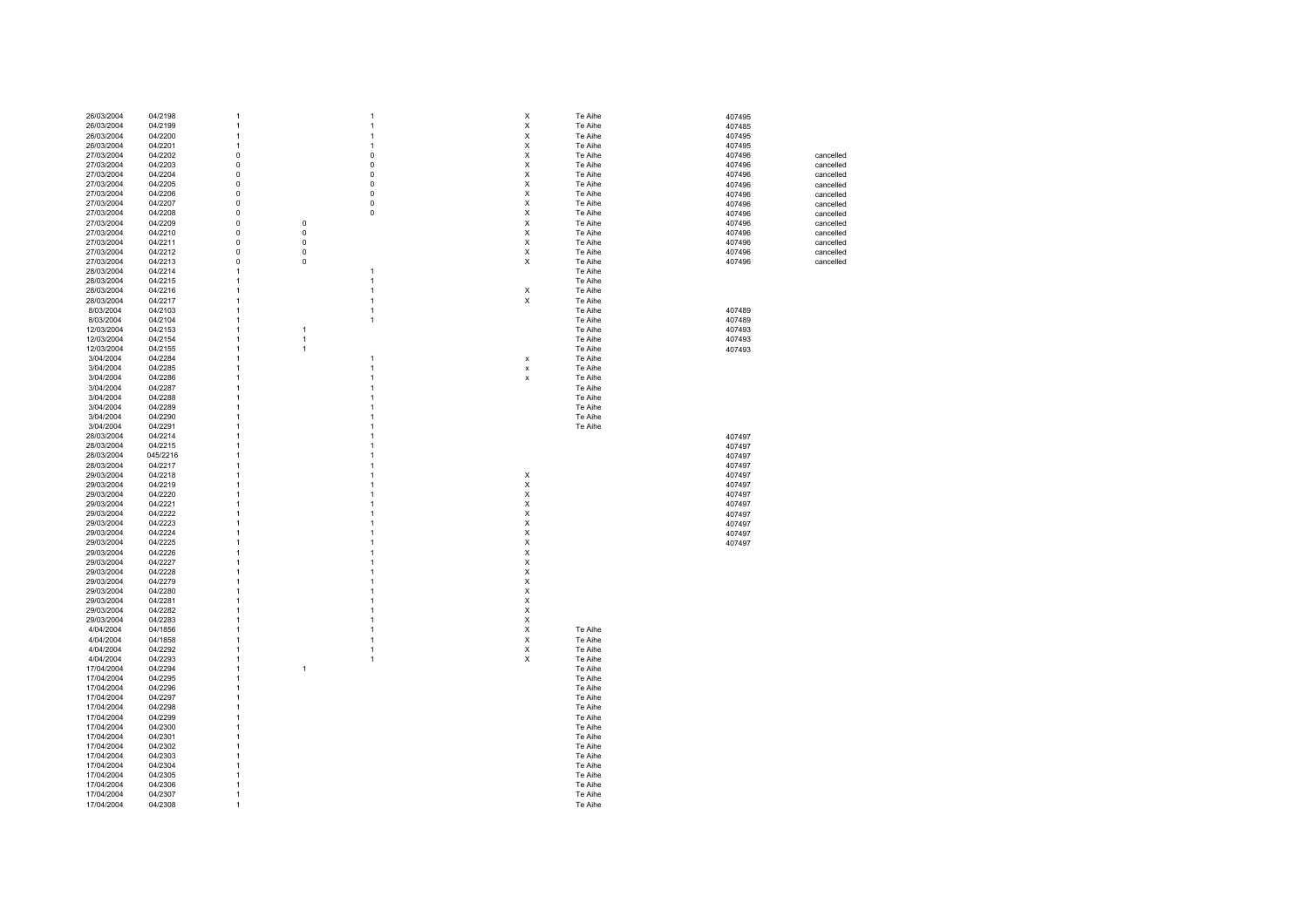| 26/03/2004 | 04/2198  | 1              |              | $\mathbf{1}$   | X                         |   | Te Aihe | 407495 |           |
|------------|----------|----------------|--------------|----------------|---------------------------|---|---------|--------|-----------|
| 26/03/2004 | 04/2199  | 1              |              | $\mathbf{1}$   | X                         |   | Te Aihe | 407485 |           |
|            |          |                |              |                |                           |   |         |        |           |
| 26/03/2004 | 04/2200  | $\mathbf{1}$   |              | $\mathbf{1}$   | X                         |   | Te Aihe | 407495 |           |
| 26/03/2004 | 04/2201  | $\overline{1}$ |              | $\mathbf{1}$   | $\boldsymbol{\mathsf{x}}$ |   | Te Aihe | 407495 |           |
|            | 04/2202  | $\mathsf 0$    |              | $\pmb{0}$      | $\boldsymbol{\mathsf{x}}$ |   | Te Aihe |        |           |
| 27/03/2004 |          |                |              |                |                           |   |         | 407496 | cancelled |
| 27/03/2004 | 04/2203  | 0              |              | $\pmb{0}$      | $\boldsymbol{\mathsf{x}}$ |   | Te Aihe | 407496 | cancelled |
| 27/03/2004 | 04/2204  | 0              |              | $\pmb{0}$      | $\boldsymbol{\mathsf{X}}$ |   | Te Aihe | 407496 | cancelled |
|            |          |                |              |                |                           |   |         |        |           |
| 27/03/2004 | 04/2205  | 0              |              | $\mathbf 0$    | $\boldsymbol{\mathsf{X}}$ |   | Te Aihe | 407496 | cancelled |
| 27/03/2004 | 04/2206  | $\mathbf 0$    |              | $\pmb{0}$      | $\boldsymbol{\mathsf{X}}$ |   | Te Aihe | 407496 | cancelled |
| 27/03/2004 | 04/2207  |                |              | $\pmb{0}$      | X                         |   | Te Aihe | 407496 |           |
|            |          | 0              |              |                |                           |   |         |        | cancelled |
| 27/03/2004 | 04/2208  | 0              |              | $\pmb{0}$      | X                         |   | Te Aihe | 407496 | cancelled |
| 27/03/2004 | 04/2209  | $\mathbf 0$    | $\mathbf 0$  |                | X                         |   | Te Aihe | 407496 | cancelled |
|            |          |                |              |                |                           |   |         |        |           |
| 27/03/2004 | 04/2210  | $\Omega$       | $\mathbf 0$  |                | $\boldsymbol{\mathsf{X}}$ |   | Te Aihe | 407496 | cancelled |
| 27/03/2004 | 04/2211  | $\mathbf 0$    | $\pmb{0}$    |                | $\mathsf X$               |   | Te Aihe | 407496 | cancelled |
| 27/03/2004 | 04/2212  | $\mathbf 0$    | $\mathbf 0$  |                | $\boldsymbol{\mathsf{x}}$ |   | Te Aihe |        |           |
|            |          |                |              |                |                           |   |         | 407496 | cancelled |
| 27/03/2004 | 04/2213  | $\mathbf 0$    | $\pmb{0}$    |                | X                         |   | Te Aihe | 407496 | cancelled |
| 28/03/2004 | 04/2214  | 1              |              | $\mathbf{1}$   |                           |   | Te Aihe |        |           |
|            |          |                |              |                |                           |   |         |        |           |
| 28/03/2004 | 04/2215  | $\overline{1}$ |              | $\mathbf{1}$   |                           |   | Te Aihe |        |           |
| 28/03/2004 | 04/2216  | $\mathbf{1}$   |              | $\mathbf{1}$   | X                         |   | Te Aihe |        |           |
| 28/03/2004 | 04/2217  | $\overline{1}$ |              | $\mathbf{1}$   |                           | X | Te Aihe |        |           |
|            |          |                |              |                |                           |   |         |        |           |
| 8/03/2004  | 04/2103  | $\overline{1}$ |              | $\mathbf{1}$   |                           |   | Te Aihe | 407489 |           |
| 8/03/2004  | 04/2104  | $\overline{1}$ |              | $\mathbf{1}$   |                           |   | Te Aihe | 407489 |           |
|            |          |                |              |                |                           |   |         |        |           |
| 12/03/2004 | 04/2153  | $\overline{1}$ | $\mathbf{1}$ |                |                           |   | Te Aihe | 407493 |           |
| 12/03/2004 | 04/2154  | $\mathbf{1}$   | $\mathbf{1}$ |                |                           |   | Te Aihe | 407493 |           |
|            |          | $\mathbf{1}$   | $\mathbf{1}$ |                |                           |   | Te Aihe |        |           |
| 12/03/2004 | 04/2155  |                |              |                |                           |   |         | 407493 |           |
| 3/04/2004  | 04/2284  | $\overline{1}$ |              | $\mathbf{1}$   | X                         |   | Te Aihe |        |           |
| 3/04/2004  | 04/2285  | $\overline{1}$ |              | $\mathbf{1}$   | $\pmb{\mathsf{x}}$        |   | Te Aihe |        |           |
|            |          |                |              |                |                           |   |         |        |           |
| 3/04/2004  | 04/2286  | 1              |              | $\overline{1}$ | x                         |   | Te Aihe |        |           |
| 3/04/2004  | 04/2287  | $\overline{1}$ |              | $\mathbf{1}$   |                           |   | Te Aihe |        |           |
| 3/04/2004  | 04/2288  | $\overline{1}$ |              | $\overline{1}$ |                           |   | Te Aihe |        |           |
|            |          |                |              |                |                           |   |         |        |           |
| 3/04/2004  | 04/2289  | $\overline{1}$ |              | $\overline{1}$ |                           |   | Te Aihe |        |           |
| 3/04/2004  | 04/2290  | $\overline{1}$ |              | $\overline{1}$ |                           |   | Te Aihe |        |           |
|            |          |                |              |                |                           |   |         |        |           |
| 3/04/2004  | 04/2291  | $\mathbf{1}$   |              | $\overline{1}$ |                           |   | Te Aihe |        |           |
| 28/03/2004 | 04/2214  | $\mathbf{1}$   |              | $\mathbf{1}$   |                           |   |         | 407497 |           |
| 28/03/2004 | 04/2215  | $\overline{1}$ |              | $\mathbf{1}$   |                           |   |         | 407497 |           |
|            |          |                |              |                |                           |   |         |        |           |
| 28/03/2004 | 045/2216 | $\overline{1}$ |              | $\mathbf{1}$   |                           |   |         | 407497 |           |
| 28/03/2004 | 04/2217  | $\overline{1}$ |              | $\mathbf{1}$   |                           |   |         | 407497 |           |
|            |          |                |              |                |                           |   |         |        |           |
| 29/03/2004 | 04/2218  | 1              |              | $\mathbf{1}$   | X                         |   |         | 407497 |           |
| 29/03/2004 | 04/2219  | $\overline{1}$ |              | $\mathbf{1}$   | X                         |   |         | 407497 |           |
| 29/03/2004 | 04/2220  | $\mathbf{1}$   |              | $\mathbf{1}$   | X                         |   |         | 407497 |           |
|            |          |                |              |                |                           |   |         |        |           |
| 29/03/2004 | 04/2221  | $\overline{1}$ |              | $\overline{1}$ | $\boldsymbol{\mathsf{X}}$ |   |         | 407497 |           |
| 29/03/2004 | 04/2222  | $\mathbf{1}$   |              | $\overline{1}$ | X                         |   |         | 407497 |           |
|            |          |                |              |                |                           |   |         |        |           |
| 29/03/2004 | 04/2223  | $\mathbf{1}$   |              | $\overline{1}$ | x                         |   |         | 407497 |           |
| 29/03/2004 | 04/2224  | $\mathbf{1}$   |              | $\mathbf{1}$   | X                         |   |         | 407497 |           |
| 29/03/2004 | 04/2225  | $\mathbf{1}$   |              | $\overline{1}$ | X                         |   |         | 407497 |           |
|            |          |                |              |                |                           |   |         |        |           |
| 29/03/2004 | 04/2226  | $\overline{1}$ |              | $\mathbf{1}$   | X                         |   |         |        |           |
| 29/03/2004 | 04/2227  | 1              |              | 1              | X                         |   |         |        |           |
|            |          |                |              |                |                           |   |         |        |           |
| 29/03/2004 | 04/2228  | $\overline{1}$ |              | $\mathbf{1}$   | X                         |   |         |        |           |
| 29/03/2004 | 04/2279  | 1              |              | $\mathbf{1}$   | X                         |   |         |        |           |
| 29/03/2004 | 04/2280  | 1              |              | $\mathbf{1}$   | $\times$                  |   |         |        |           |
|            |          |                |              |                |                           |   |         |        |           |
| 29/03/2004 | 04/2281  | 1              |              | $\overline{1}$ | X                         |   |         |        |           |
| 29/03/2004 | 04/2282  | $\overline{1}$ |              | $\mathbf{1}$   | X                         |   |         |        |           |
|            |          | $\overline{1}$ |              | $\overline{1}$ | $\mathsf X$               |   |         |        |           |
| 29/03/2004 | 04/2283  |                |              |                |                           |   |         |        |           |
| 4/04/2004  | 04/1856  | $\overline{1}$ |              | $\mathbf{1}$   | $\mathsf X$               |   | Te Aihe |        |           |
| 4/04/2004  | 04/1858  | $\overline{1}$ |              | $\mathbf{1}$   | X                         |   | Te Aihe |        |           |
|            |          |                |              |                |                           |   |         |        |           |
| 4/04/2004  | 04/2292  | $\mathbf{1}$   |              | $\mathbf{1}$   | $\boldsymbol{\mathsf{X}}$ |   | Te Aihe |        |           |
| 4/04/2004  | 04/2293  | $\overline{1}$ |              | $\mathbf{1}$   |                           | X | Te Aihe |        |           |
|            |          | $\mathbf{1}$   |              |                |                           |   | Te Aihe |        |           |
| 17/04/2004 | 04/2294  |                | $\mathbf{1}$ |                |                           |   |         |        |           |
| 17/04/2004 | 04/2295  | $\mathbf{1}$   |              |                |                           |   | Te Aihe |        |           |
| 17/04/2004 | 04/2296  | $\mathbf{1}$   |              |                |                           |   | Te Aihe |        |           |
|            |          |                |              |                |                           |   |         |        |           |
| 17/04/2004 | 04/2297  | 1              |              |                |                           |   | Te Aihe |        |           |
| 17/04/2004 | 04/2298  | 1              |              |                |                           |   | Te Aihe |        |           |
|            | 04/2299  | $\overline{1}$ |              |                |                           |   | Te Aihe |        |           |
| 17/04/2004 |          |                |              |                |                           |   |         |        |           |
| 17/04/2004 | 04/2300  | $\overline{1}$ |              |                |                           |   | Te Aihe |        |           |
| 17/04/2004 | 04/2301  | 1              |              |                |                           |   | Te Aihe |        |           |
|            |          |                |              |                |                           |   |         |        |           |
| 17/04/2004 | 04/2302  | $\overline{1}$ |              |                |                           |   | Te Aihe |        |           |
| 17/04/2004 | 04/2303  | $\overline{1}$ |              |                |                           |   | Te Aihe |        |           |
| 17/04/2004 | 04/2304  | $\overline{1}$ |              |                |                           |   | Te Aihe |        |           |
|            |          |                |              |                |                           |   |         |        |           |
| 17/04/2004 | 04/2305  | $\mathbf{1}$   |              |                |                           |   | Te Aihe |        |           |
| 17/04/2004 | 04/2306  | $\overline{1}$ |              |                |                           |   | Te Aihe |        |           |
|            |          |                |              |                |                           |   |         |        |           |
| 17/04/2004 | 04/2307  | $\overline{1}$ |              |                |                           |   | Te Aihe |        |           |
| 17/04/2004 | 04/2308  | $\overline{1}$ |              |                |                           |   | Te Aihe |        |           |
|            |          |                |              |                |                           |   |         |        |           |
|            |          |                |              |                |                           |   |         |        |           |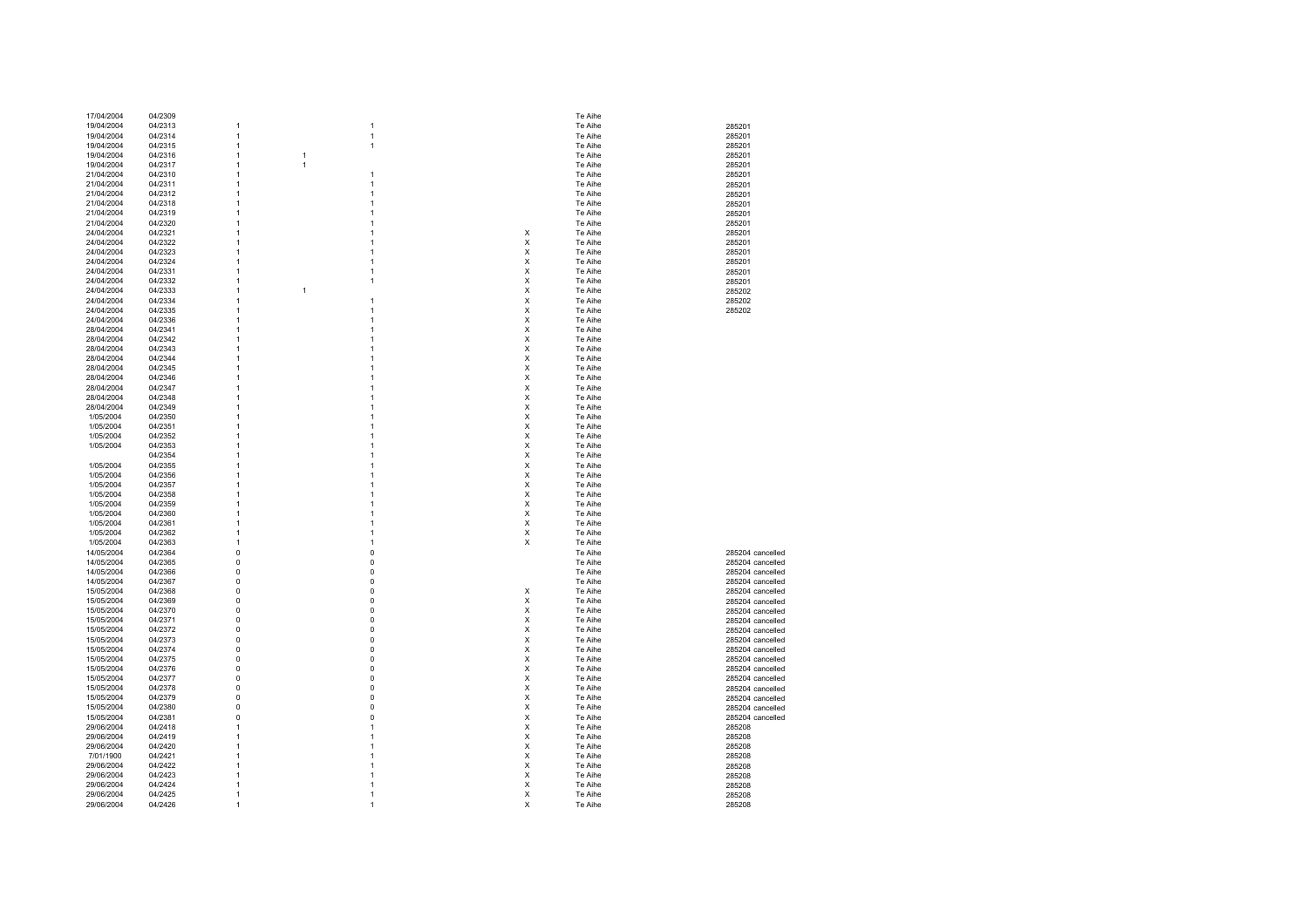| 17/04/2004               | 04/2309            |                                |                |                | Te Aihe            |                  |
|--------------------------|--------------------|--------------------------------|----------------|----------------|--------------------|------------------|
| 19/04/2004               | 04/2313            | -1                             | 1              |                | Te Aihe            | 285201           |
| 19/04/2004               | 04/2314            | $\mathbf{1}$                   | 1              |                | Te Aihe            | 285201           |
| 19/04/2004               | 04/2315            | $\mathbf{1}$                   | 1              |                | Te Aihe            | 285201           |
| 19/04/2004               | 04/2316            | $\mathbf{1}$                   | $\mathbf{1}$   |                | Te Aihe            | 285201           |
| 19/04/2004               | 04/2317            | $\overline{1}$                 | $\overline{1}$ |                | Te Aihe            | 285201           |
| 21/04/2004               | 04/2310            | $\overline{1}$                 | 1              |                | Te Aihe            | 285201           |
| 21/04/2004               | 04/2311            | $\overline{1}$                 | 1              |                | Te Aihe            | 285201           |
| 21/04/2004               | 04/2312            | $\overline{1}$                 | 1              |                | Te Aihe            | 285201           |
| 21/04/2004               | 04/2318            | $\mathbf{1}$                   | 1              |                | Te Aihe            | 285201           |
| 21/04/2004               | 04/2319            | $\mathbf{1}$                   |                |                | Te Aihe            | 285201           |
| 21/04/2004               | 04/2320            | $\overline{1}$                 |                |                | Te Aihe            | 285201           |
| 24/04/2004               | 04/2321            | $\mathbf{1}$                   |                | х              | Te Aihe            | 285201           |
| 24/04/2004               | 04/2322            | $\mathbf{1}$                   |                | x              | Te Aihe            | 285201           |
| 24/04/2004               | 04/2323            | $\mathbf{1}$                   |                | X              | Te Aihe            | 285201           |
| 24/04/2004               | 04/2324            | $\mathbf{1}$                   |                | X              | Te Aihe            | 285201           |
| 24/04/2004               | 04/2331            | $\mathbf{1}$                   | 1              | X              | Te Aihe            | 285201           |
|                          |                    | $\mathbf{1}$                   | 1              | Χ              | Te Aihe            |                  |
| 24/04/2004               | 04/2332            | $\mathbf{1}$                   | $\mathbf{1}$   | X              |                    | 285201           |
| 24/04/2004               | 04/2333            |                                |                |                | Te Aihe            | 285202           |
| 24/04/2004               | 04/2334            | $\overline{1}$                 | 1              | X              | Te Aihe            | 285202           |
| 24/04/2004               | 04/2335            | $\overline{1}$                 | 1              | X              | Te Aihe            | 285202           |
| 24/04/2004               | 04/2336            | $\overline{1}$                 |                | X              | Te Aihe            |                  |
| 28/04/2004               | 04/2341            | $\overline{1}$                 | 1              | $\pmb{\times}$ | Te Aihe            |                  |
| 28/04/2004               | 04/2342            | $\mathbf{1}$                   | 1              | $\pmb{\times}$ | Te Aihe            |                  |
| 28/04/2004               | 04/2343            | -1                             | 1              | X              | Te Aihe            |                  |
| 28/04/2004               | 04/2344            | 1                              | 1              | X              | Te Aihe            |                  |
| 28/04/2004               | 04/2345            | 1                              |                | X              | Te Aihe            |                  |
| 28/04/2004               | 04/2346            | 1                              |                | X              | Te Aihe            |                  |
| 28/04/2004               | 04/2347            | 1                              |                | X              | Te Aihe            |                  |
| 28/04/2004               | 04/2348            | $\mathbf{1}$                   | 1              | X              | Te Aihe            |                  |
| 28/04/2004               | 04/2349            | $\mathbf{1}$                   |                | X              | Te Aihe            |                  |
| 1/05/2004                | 04/2350            | $\overline{1}$                 |                | Χ              | Te Aihe            |                  |
| 1/05/2004                | 04/2351            | $\mathbf{1}$                   | 1              | $\pmb{\times}$ | Te Aihe            |                  |
| 1/05/2004                | 04/2352            | $\overline{1}$                 |                | X              | Te Aihe            |                  |
| 1/05/2004                | 04/2353            | $\overline{1}$                 |                | X              | Te Aihe            |                  |
|                          | 04/2354            | $\overline{1}$                 |                | X              | Te Aihe            |                  |
| 1/05/2004                | 04/2355            | $\overline{1}$                 |                | X              | Te Aihe            |                  |
| 1/05/2004                | 04/2356            | $\mathbf{1}$                   |                | X              | Te Aihe            |                  |
| 1/05/2004                | 04/2357            | $\mathbf{1}$                   |                | X              | Te Aihe            |                  |
| 1/05/2004                | 04/2358            | 1                              |                | X              | Te Aihe            |                  |
| 1/05/2004                | 04/2359            | 1                              |                | X              | Te Aihe            |                  |
|                          |                    | $\mathbf{1}$                   |                | X              |                    |                  |
| 1/05/2004<br>1/05/2004   | 04/2360<br>04/2361 | $\overline{1}$                 |                | X              | Te Aihe<br>Te Aihe |                  |
|                          |                    |                                |                | $\pmb{\times}$ |                    |                  |
| 1/05/2004                | 04/2362            | $\mathbf{1}$<br>$\overline{1}$ |                | X              | Te Aihe            |                  |
| 1/05/2004                | 04/2363            |                                |                |                | Te Aihe            |                  |
| 14/05/2004               | 04/2364            | $\mathbf 0$                    | $\Omega$       |                | Te Aihe            | 285204 cancelled |
| 14/05/2004               | 04/2365            | $\pmb{0}$                      | $\Omega$       |                | Te Aihe            | 285204 cancelled |
| 14/05/2004               | 04/2366            | $\pmb{0}$                      | $\Omega$       |                | Te Aihe            | 285204 cancelled |
| 14/05/2004               | 04/2367            | $\pmb{0}$                      | $\mathbf 0$    |                | Te Aihe            | 285204 cancelled |
| 15/05/2004               | 04/2368            | 0                              | 0              | х              | Te Aihe            | 285204 cancelled |
| 15/05/2004               | 04/2369            | $\mathbf 0$                    | 0              | X              | Te Aihe            | 285204 cancelled |
| 15/05/2004               | 04/2370            | $\mathbf 0$                    | $\Omega$       | X              | Te Aihe            | 285204 cancelled |
| 15/05/2004               | 04/2371            | $\mathbf 0$                    | $\Omega$       | X              | Te Aihe            | 285204 cancelled |
| 15/05/2004               | 04/2372            | $\pmb{0}$                      | 0              | X              | Te Aihe            | 285204 cancelled |
| 15/05/2004               | 04/2373            | 0                              | 0              | X              | Te Aihe            | 285204 cancelled |
| 15/05/2004               | 04/2374            | 0                              | 0              | X              | Te Aihe            | 285204 cancelled |
| 15/05/2004               | 04/2375            | $\mathbf 0$                    | $\Omega$       | X              | Te Aihe            | 285204 cancelled |
| 15/05/2004               | 04/2376            | $\mathbf 0$                    | $\Omega$       | $\times$       | Te Aihe            | 285204 cancelled |
| 15/05/2004               | 04/2377            | $\mathbf 0$                    | $\Omega$       | $\times$       | Te Aihe            | 285204 cancelled |
| 15/05/2004               | 04/2378            | $\mathbf 0$                    | $\Omega$       | $\pmb{\times}$ | Te Aihe            | 285204 cancelled |
| 15/05/2004               | 04/2379            | $\pmb{0}$                      | $\Omega$       | $\pmb{\times}$ | Te Aihe            | 285204 cancelled |
| 15/05/2004               | 04/2380            | $\mathbf 0$                    | 0              | X              | Te Aihe            | 285204 cancelled |
| 15/05/2004               | 04/2381            | $\mathbf 0$                    | 0              | X              | Te Aihe            | 285204 cancelled |
| 29/06/2004               | 04/2418            | 1                              |                | X              | Te Aihe            | 285208           |
| 29/06/2004               | 04/2419            | $\overline{1}$                 |                | X              | Te Aihe            | 285208           |
| 29/06/2004               | 04/2420            | $\overline{1}$                 |                | $\pmb{\times}$ | Te Aihe            | 285208           |
| 7/01/1900                | 04/2421            | $\mathbf{1}$                   |                | $\pmb{\times}$ | Te Aihe            | 285208           |
| 29/06/2004               | 04/2422            | $\mathbf{1}$                   |                | X              | Te Aihe            |                  |
|                          | 04/2423            | $\overline{1}$                 |                | X              | Te Aihe            | 285208           |
| 29/06/2004<br>29/06/2004 | 04/2424            | $\overline{1}$                 |                | X              | Te Aihe            | 285208<br>285208 |
| 29/06/2004               | 04/2425            | $\overline{1}$                 |                | X              | Te Aihe            |                  |
|                          |                    |                                | $\mathbf{1}$   | X              |                    | 285208           |
| 29/06/2004               | 04/2426            | $\overline{1}$                 |                |                | Te Aihe            | 285208           |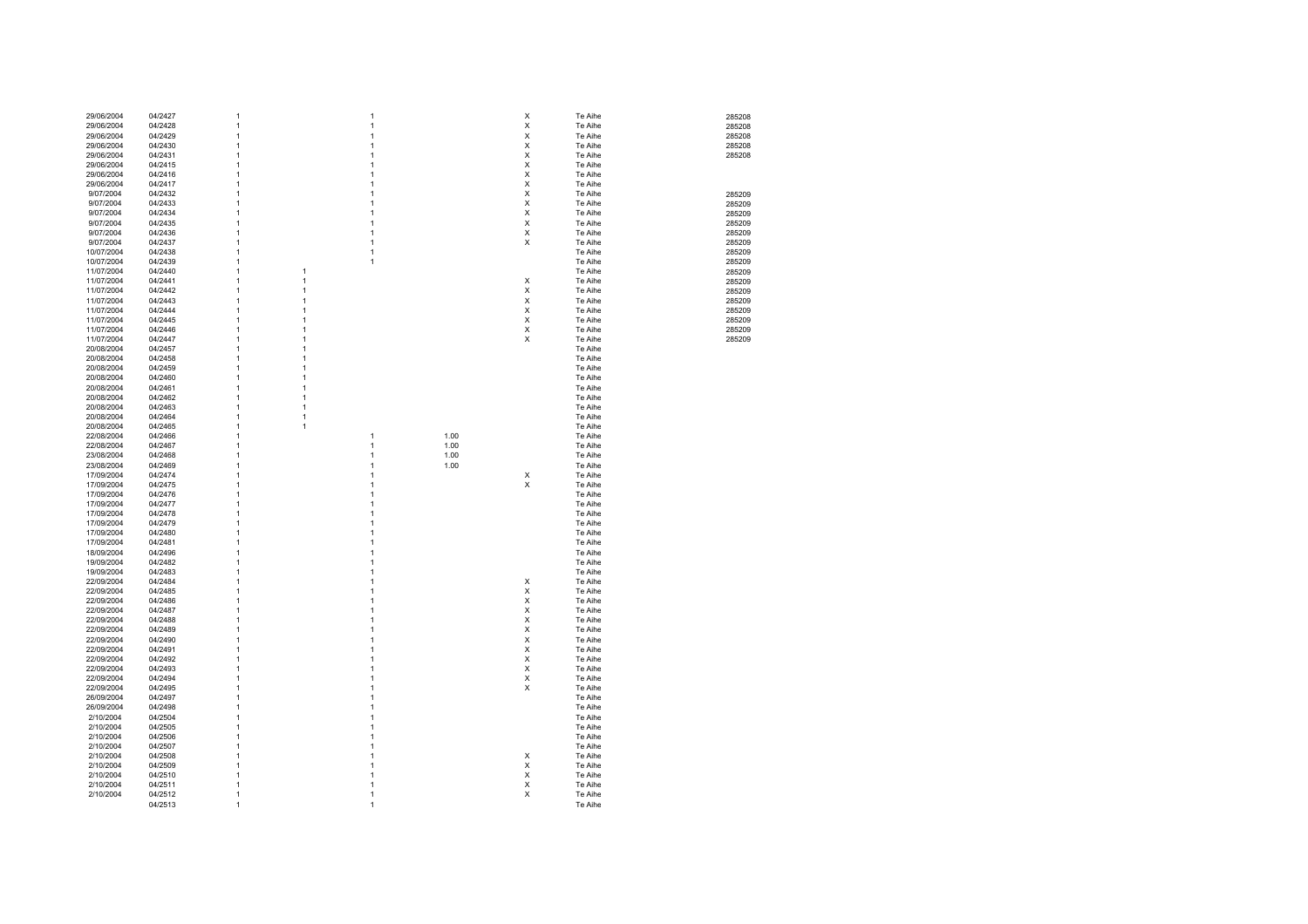| 29/06/2004 | 04/2427            | 1 |                | 1 |      | X              | Te Aihe            | 285208 |
|------------|--------------------|---|----------------|---|------|----------------|--------------------|--------|
|            |                    |   |                |   |      |                |                    |        |
| 29/06/2004 | 04/2428            | 1 |                | 1 |      | X              | Te Aihe            | 285208 |
|            | 04/2429            | 1 |                | 1 |      | X              | Te Aihe            |        |
| 29/06/2004 |                    |   |                |   |      |                |                    | 285208 |
| 29/06/2004 | 04/2430            | 1 |                | 1 |      | X              | Te Aihe            | 285208 |
|            |                    | 1 |                | 1 |      | X              |                    |        |
| 29/06/2004 | 04/2431            |   |                |   |      |                | Te Aihe            | 285208 |
| 29/06/2004 | 04/2415            | 1 |                | 1 |      | X              | Te Aihe            |        |
|            |                    | 1 |                | 1 |      | X              |                    |        |
| 29/06/2004 | 04/2416            |   |                |   |      |                | Te Aihe            |        |
| 29/06/2004 | 04/2417            | 1 |                | 1 |      | X              | Te Aihe            |        |
|            |                    |   |                |   |      |                |                    |        |
| 9/07/2004  | 04/2432            | 1 |                | 1 |      | X              | Te Aihe            | 285209 |
| 9/07/2004  | 04/2433            | 1 |                | 1 |      | X              | Te Aihe            | 285209 |
|            |                    |   |                |   |      |                |                    |        |
| 9/07/2004  | 04/2434            | 1 |                | 1 |      | X              | Te Aihe            | 285209 |
| 9/07/2004  | 04/2435            | 1 |                | 1 |      | X              | Te Aihe            | 285209 |
|            |                    |   |                |   |      |                |                    |        |
| 9/07/2004  | 04/2436            | 1 |                | 1 |      | X              | Te Aihe            | 285209 |
| 9/07/2004  | 04/2437            | 1 |                | 1 |      | X              | Te Aihe            |        |
|            |                    |   |                |   |      |                |                    | 285209 |
| 10/07/2004 | 04/2438            | 1 |                | 1 |      |                | Te Aihe            | 285209 |
|            |                    |   |                |   |      |                |                    |        |
| 10/07/2004 | 04/2439            | 1 |                | 1 |      |                | Te Aihe            | 285209 |
| 11/07/2004 | 04/2440            | 1 | 1              |   |      |                | Te Aihe            | 285209 |
|            |                    |   |                |   |      |                |                    |        |
| 11/07/2004 | 04/2441            | 1 | $\mathbf{1}$   |   |      | X              | Te Aihe            | 285209 |
| 11/07/2004 | 04/2442            | 1 | 1              |   |      | X              | Te Aihe            | 285209 |
|            |                    |   |                |   |      |                |                    |        |
| 11/07/2004 | 04/2443            | 1 | 1              |   |      | Χ              | Te Aihe            | 285209 |
| 11/07/2004 | 04/2444            | 1 | 1              |   |      | Χ              | Te Aihe            | 285209 |
|            |                    |   |                |   |      |                |                    |        |
| 11/07/2004 | 04/2445            | 1 | 1              |   |      | х              | Te Aihe            | 285209 |
| 11/07/2004 | 04/2446            | 1 | 1              |   |      | х              | Te Aihe            | 285209 |
|            |                    |   |                |   |      |                |                    |        |
| 11/07/2004 | 04/2447            | 1 | 1              |   |      | X              | Te Aihe            | 285209 |
| 20/08/2004 | 04/2457            | 1 | 1              |   |      |                | Te Aihe            |        |
|            |                    |   |                |   |      |                |                    |        |
| 20/08/2004 | 04/2458            | 1 | 1              |   |      |                | Te Aihe            |        |
|            |                    |   | 1              |   |      |                |                    |        |
| 20/08/2004 | 04/2459            | 1 |                |   |      |                | Te Aihe            |        |
| 20/08/2004 | 04/2460            | 1 | 1              |   |      |                | Te Aihe            |        |
|            |                    |   |                |   |      |                |                    |        |
| 20/08/2004 | 04/2461            | 1 | 1              |   |      |                | Te Aihe            |        |
| 20/08/2004 | 04/2462            | 1 | $\mathbf{1}$   |   |      |                | Te Aihe            |        |
|            |                    |   |                |   |      |                |                    |        |
| 20/08/2004 | 04/2463            | 1 | $\overline{1}$ |   |      |                | Te Aihe            |        |
| 20/08/2004 | 04/2464            | 1 | $\mathbf{1}$   |   |      |                | Te Aihe            |        |
|            |                    |   |                |   |      |                |                    |        |
| 20/08/2004 | 04/2465            | 1 | $\mathbf{1}$   |   |      |                | Te Aihe            |        |
| 22/08/2004 | 04/2466            | 1 |                | 1 | 1.00 |                | Te Aihe            |        |
|            |                    |   |                |   |      |                |                    |        |
| 22/08/2004 | 04/2467            | 1 |                | 1 | 1.00 |                | Te Aihe            |        |
| 23/08/2004 | 04/2468            | 1 |                | 1 | 1.00 |                | Te Aihe            |        |
|            |                    |   |                |   |      |                |                    |        |
| 23/08/2004 | 04/2469            | 1 |                | 1 | 1.00 |                | Te Aihe            |        |
|            |                    | 1 |                | 1 |      |                |                    |        |
| 17/09/2004 | 04/2474            |   |                |   |      | Χ              | Te Aihe            |        |
| 17/09/2004 | 04/2475            | 1 |                | 1 |      | X              | Te Aihe            |        |
|            |                    |   |                |   |      |                |                    |        |
| 17/09/2004 | 04/2476            | 1 |                | 1 |      |                | Te Aihe            |        |
| 17/09/2004 | 04/2477            | 1 |                | 1 |      |                | Te Aihe            |        |
|            |                    |   |                |   |      |                |                    |        |
| 17/09/2004 | 04/2478            | 1 |                | 1 |      |                | Te Aihe            |        |
| 17/09/2004 | 04/2479            | 1 |                | 1 |      |                | Te Aihe            |        |
|            |                    |   |                |   |      |                |                    |        |
| 17/09/2004 | 04/2480            | 1 |                | 1 |      |                | Te Aihe            |        |
| 17/09/2004 | 04/2481            | 1 |                | 1 |      |                | Te Aihe            |        |
|            |                    |   |                |   |      |                |                    |        |
| 18/09/2004 | 04/2496            | 1 |                | 1 |      |                | Te Aihe            |        |
| 19/09/2004 | 04/2482            | 1 |                | 1 |      |                | Te Aihe            |        |
|            |                    |   |                |   |      |                |                    |        |
| 19/09/2004 | 04/2483            | 1 |                | 1 |      |                | Te Aihe            |        |
| 22/09/2004 | 04/2484            | 1 |                | 1 |      | X              | Te Aihe            |        |
|            |                    |   |                |   |      |                |                    |        |
| 22/09/2004 | 04/2485            | 1 |                | 1 |      | X              | Te Aihe            |        |
| 22/09/2004 | 04/2486            | 1 |                | 1 |      | X              | Te Aihe            |        |
|            |                    |   |                |   |      |                |                    |        |
| 22/09/2004 | 04/2487            | 1 |                | 1 |      | X              | Te Aihe            |        |
| 22/09/2004 | 04/2488            | 1 |                | 1 |      | X              | Te Aihe            |        |
|            |                    |   |                |   |      |                |                    |        |
| 22/09/2004 | 04/2489            | 1 |                | 1 |      | X              | Te Aihe            |        |
| 22/09/2004 | 04/2490            | 1 |                | 1 |      | X              | Te Aihe            |        |
|            |                    |   |                |   |      |                |                    |        |
| 22/09/2004 | 04/2491            | 1 |                | 1 |      | $\pmb{\times}$ | Te Aihe            |        |
|            |                    |   |                |   |      |                |                    |        |
|            |                    |   |                |   |      |                |                    |        |
| 22/09/2004 | 04/2492            | 1 |                |   |      | X              | Te Aihe            |        |
| 22/09/2004 | 04/2493            | 1 |                |   |      | X              | Te Aihe            |        |
|            |                    |   |                |   |      |                |                    |        |
| 22/09/2004 | 04/2494            | 1 |                |   |      | X              | Te Aihe            |        |
|            |                    | 1 |                | 1 |      |                |                    |        |
| 22/09/2004 | 04/2495            |   |                |   |      | X              | Te Aihe            |        |
| 26/09/2004 | 04/2497            | 1 |                | 1 |      |                | Te Aihe            |        |
|            |                    | 1 |                | 1 |      |                |                    |        |
| 26/09/2004 | 04/2498            |   |                |   |      |                | Te Aihe            |        |
| 2/10/2004  | 04/2504            | 1 |                | 1 |      |                | Te Aihe            |        |
|            |                    |   |                |   |      |                |                    |        |
| 2/10/2004  | 04/2505            | 1 |                | 1 |      |                | Te Aihe            |        |
| 2/10/2004  | 04/2506            | 1 |                | 1 |      |                | Te Aihe            |        |
|            |                    |   |                |   |      |                |                    |        |
| 2/10/2004  | 04/2507            | 1 |                | 1 |      |                | Te Aihe            |        |
|            |                    | 1 |                | 1 |      |                |                    |        |
| 2/10/2004  | 04/2508            |   |                |   |      | Χ              | Te Aihe            |        |
| 2/10/2004  | 04/2509            | 1 |                | 1 |      | X              | Te Aihe            |        |
|            |                    | 1 |                | 1 |      |                |                    |        |
| 2/10/2004  | 04/2510            |   |                |   |      | х              | Te Aihe            |        |
| 2/10/2004  | 04/2511            | 1 |                | 1 |      | х              | Te Aihe            |        |
|            |                    | 1 |                | 1 |      |                |                    |        |
| 2/10/2004  | 04/2512<br>04/2513 |   |                | 1 |      | X              | Te Aihe<br>Te Aihe |        |

285209 285209 285209